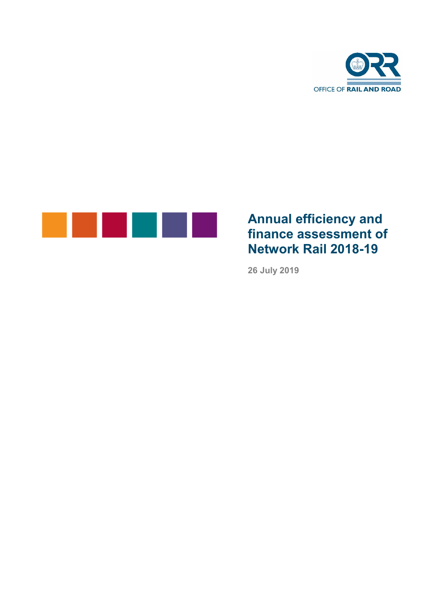



# **Annual efficiency and finance assessment of Network Rail 2018-19**

**26 July 2019**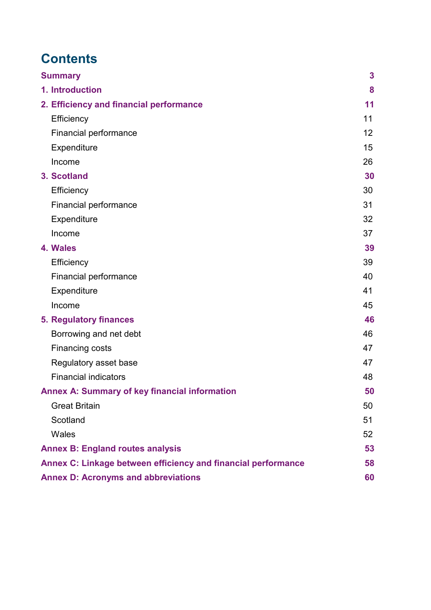# **Contents**

| <b>Summary</b>                                                | 3  |
|---------------------------------------------------------------|----|
| 1. Introduction                                               | 8  |
| 2. Efficiency and financial performance                       | 11 |
| Efficiency                                                    | 11 |
| Financial performance                                         | 12 |
| Expenditure                                                   | 15 |
| Income                                                        | 26 |
| 3. Scotland                                                   | 30 |
| Efficiency                                                    | 30 |
| <b>Financial performance</b>                                  | 31 |
| Expenditure                                                   | 32 |
| Income                                                        | 37 |
| 4. Wales                                                      | 39 |
| Efficiency                                                    | 39 |
| Financial performance                                         | 40 |
| Expenditure                                                   | 41 |
| Income                                                        | 45 |
| <b>5. Regulatory finances</b>                                 | 46 |
| Borrowing and net debt                                        | 46 |
| Financing costs                                               | 47 |
| Regulatory asset base                                         | 47 |
| <b>Financial indicators</b>                                   | 48 |
| <b>Annex A: Summary of key financial information</b>          | 50 |
| <b>Great Britain</b>                                          | 50 |
| Scotland                                                      | 51 |
| Wales                                                         | 52 |
| <b>Annex B: England routes analysis</b>                       | 53 |
| Annex C: Linkage between efficiency and financial performance | 58 |
| <b>Annex D: Acronyms and abbreviations</b>                    | 60 |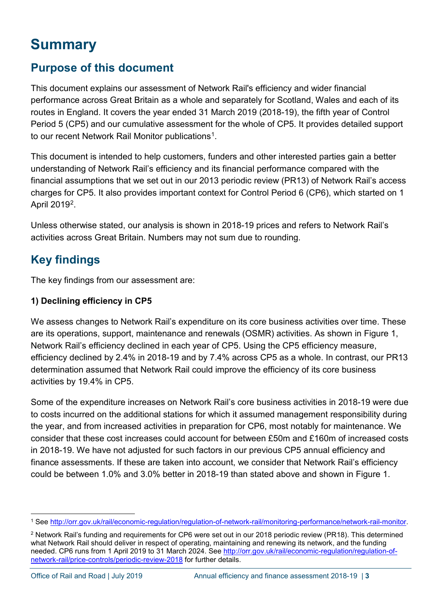# <span id="page-2-0"></span>**Summary**

## **Purpose of this document**

This document explains our assessment of Network Rail's efficiency and wider financial performance across Great Britain as a whole and separately for Scotland, Wales and each of its routes in England. It covers the year ended 31 March 2019 (2018-19), the fifth year of Control Period 5 (CP5) and our cumulative assessment for the whole of CP5. It provides detailed support to our recent Network Rail Monitor publications<sup>[1](#page-2-1)</sup>.

This document is intended to help customers, funders and other interested parties gain a better understanding of Network Rail's efficiency and its financial performance compared with the financial assumptions that we set out in our 2013 periodic review (PR13) of Network Rail's access charges for CP5. It also provides important context for Control Period 6 (CP6), which started on 1 April 2019[2.](#page-2-2)

Unless otherwise stated, our analysis is shown in 2018-19 prices and refers to Network Rail's activities across Great Britain. Numbers may not sum due to rounding.

## **Key findings**

The key findings from our assessment are:

#### **1) Declining efficiency in CP5**

We assess changes to Network Rail's expenditure on its core business activities over time. These are its operations, support, maintenance and renewals (OSMR) activities. As shown in Figure 1, Network Rail's efficiency declined in each year of CP5. Using the CP5 efficiency measure, efficiency declined by 2.4% in 2018-19 and by 7.4% across CP5 as a whole. In contrast, our PR13 determination assumed that Network Rail could improve the efficiency of its core business activities by 19.4% in CP5.

Some of the expenditure increases on Network Rail's core business activities in 2018-19 were due to costs incurred on the additional stations for which it assumed management responsibility during the year, and from increased activities in preparation for CP6, most notably for maintenance. We consider that these cost increases could account for between £50m and £160m of increased costs in 2018-19. We have not adjusted for such factors in our previous CP5 annual efficiency and finance assessments. If these are taken into account, we consider that Network Rail's efficiency could be between 1.0% and 3.0% better in 2018-19 than stated above and shown in Figure 1.

<span id="page-2-1"></span> <sup>1</sup> See [http://orr.gov.uk/rail/economic-regulation/regulation-of-network-rail/monitoring-performance/network-rail-monitor.](http://orr.gov.uk/rail/economic-regulation/regulation-of-network-rail/monitoring-performance/network-rail-monitor)

<span id="page-2-2"></span><sup>2</sup> Network Rail's funding and requirements for CP6 were set out in our 2018 periodic review (PR18). This determined what Network Rail should deliver in respect of operating, maintaining and renewing its network, and the funding needed. CP6 runs from 1 April 2019 to 31 March 2024. See [http://orr.gov.uk/rail/economic-regulation/regulation-of](http://orr.gov.uk/rail/economic-regulation/regulation-of-network-rail/price-controls/periodic-review-2018)[network-rail/price-controls/periodic-review-2018](http://orr.gov.uk/rail/economic-regulation/regulation-of-network-rail/price-controls/periodic-review-2018) for further details.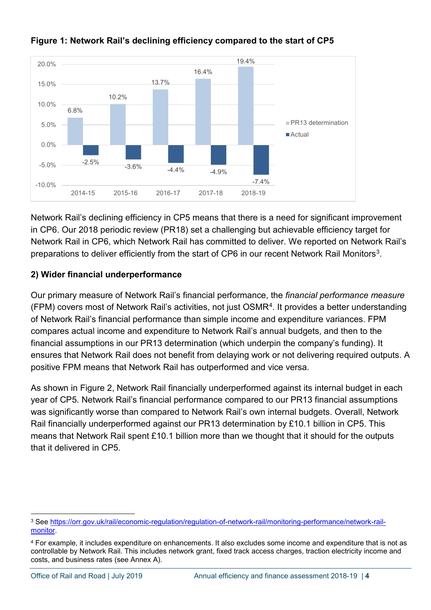

### **Figure 1: Network Rail's declining efficiency compared to the start of CP5**

Network Rail's declining efficiency in CP5 means that there is a need for significant improvement in CP6. Our 2018 periodic review (PR18) set a challenging but achievable efficiency target for Network Rail in CP6, which Network Rail has committed to deliver. We reported on Network Rail's preparations to deliver efficiently from the start of CP6 in our recent Network Rail Monitors<sup>[3](#page-3-0)</sup>.

### **2) Wider financial underperformance**

Our primary measure of Network Rail's financial performance, the *financial performance measure*  $(FPM)$  covers most of Network Rail's activities, not just OSMR<sup>[4](#page-3-1)</sup>. It provides a better understanding of Network Rail's financial performance than simple income and expenditure variances. FPM compares actual income and expenditure to Network Rail's annual budgets, and then to the financial assumptions in our PR13 determination (which underpin the company's funding). It ensures that Network Rail does not benefit from delaying work or not delivering required outputs. A positive FPM means that Network Rail has outperformed and vice versa.

As shown in Figure 2, Network Rail financially underperformed against its internal budget in each year of CP5. Network Rail's financial performance compared to our PR13 financial assumptions was significantly worse than compared to Network Rail's own internal budgets. Overall, Network Rail financially underperformed against our PR13 determination by £10.1 billion in CP5. This means that Network Rail spent £10.1 billion more than we thought that it should for the outputs that it delivered in CP5.

<span id="page-3-0"></span> <sup>3</sup> See [https://orr.gov.uk/rail/economic-regulation/regulation-of-network-rail/monitoring-performance/network-rail](https://orr.gov.uk/rail/economic-regulation/regulation-of-network-rail/monitoring-performance/network-rail-monitor)[monitor.](https://orr.gov.uk/rail/economic-regulation/regulation-of-network-rail/monitoring-performance/network-rail-monitor)

<span id="page-3-1"></span><sup>4</sup> For example, it includes expenditure on enhancements. It also excludes some income and expenditure that is not as controllable by Network Rail. This includes network grant, fixed track access charges, traction electricity income and costs, and business rates (see Annex A).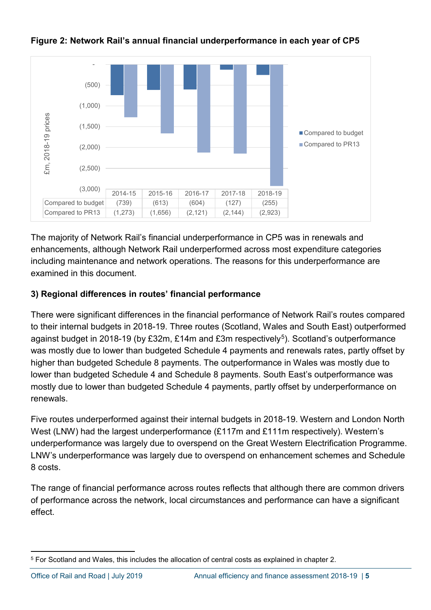

### **Figure 2: Network Rail's annual financial underperformance in each year of CP5**

The majority of Network Rail's financial underperformance in CP5 was in renewals and enhancements, although Network Rail underperformed across most expenditure categories including maintenance and network operations. The reasons for this underperformance are examined in this document.

#### **3) Regional differences in routes' financial performance**

There were significant differences in the financial performance of Network Rail's routes compared to their internal budgets in 2018-19. Three routes (Scotland, Wales and South East) outperformed against budget in 2018-19 (by £32m, £14m and  $£3m$  respectively<sup>[5](#page-4-0)</sup>). Scotland's outperformance was mostly due to lower than budgeted Schedule 4 payments and renewals rates, partly offset by higher than budgeted Schedule 8 payments. The outperformance in Wales was mostly due to lower than budgeted Schedule 4 and Schedule 8 payments. South East's outperformance was mostly due to lower than budgeted Schedule 4 payments, partly offset by underperformance on renewals.

Five routes underperformed against their internal budgets in 2018-19. Western and London North West (LNW) had the largest underperformance (£117m and £111m respectively). Western's underperformance was largely due to overspend on the Great Western Electrification Programme. LNW's underperformance was largely due to overspend on enhancement schemes and Schedule 8 costs.

The range of financial performance across routes reflects that although there are common drivers of performance across the network, local circumstances and performance can have a significant effect.

<span id="page-4-0"></span> <sup>5</sup> For Scotland and Wales, this includes the allocation of central costs as explained in chapter 2.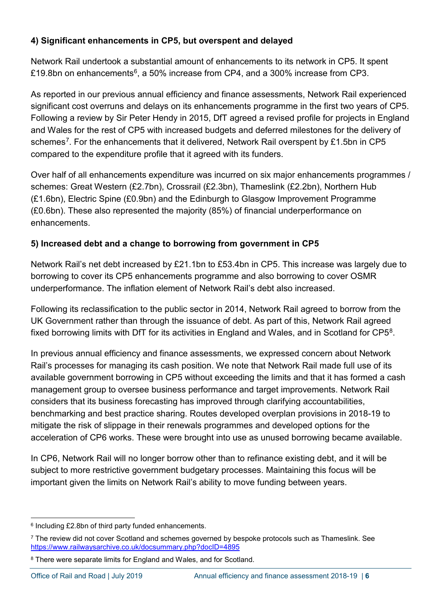### **4) Significant enhancements in CP5, but overspent and delayed**

Network Rail undertook a substantial amount of enhancements to its network in CP5. It spent £19.8bn on enhancements<sup>6</sup>, a 50% increase from CP4, and a 300% increase from CP3.

As reported in our previous annual efficiency and finance assessments, Network Rail experienced significant cost overruns and delays on its enhancements programme in the first two years of CP5. Following a review by Sir Peter Hendy in 2015, DfT agreed a revised profile for projects in England and Wales for the rest of CP5 with increased budgets and deferred milestones for the delivery of schemes<sup>7</sup>. For the enhancements that it delivered, Network Rail overspent by £1.5bn in CP5 compared to the expenditure profile that it agreed with its funders.

Over half of all enhancements expenditure was incurred on six major enhancements programmes / schemes: Great Western (£2.7bn), Crossrail (£2.3bn), Thameslink (£2.2bn), Northern Hub (£1.6bn), Electric Spine (£0.9bn) and the Edinburgh to Glasgow Improvement Programme (£0.6bn). These also represented the majority (85%) of financial underperformance on enhancements.

### **5) Increased debt and a change to borrowing from government in CP5**

Network Rail's net debt increased by £21.1bn to £53.4bn in CP5. This increase was largely due to borrowing to cover its CP5 enhancements programme and also borrowing to cover OSMR underperformance. The inflation element of Network Rail's debt also increased.

Following its reclassification to the public sector in 2014, Network Rail agreed to borrow from the UK Government rather than through the issuance of debt. As part of this, Network Rail agreed fixed borrowing limits with DfT for its activities in England and Wales, and in Scotland for CP5<sup>8</sup>.

In previous annual efficiency and finance assessments, we expressed concern about Network Rail's processes for managing its cash position. We note that Network Rail made full use of its available government borrowing in CP5 without exceeding the limits and that it has formed a cash management group to oversee business performance and target improvements. Network Rail considers that its business forecasting has improved through clarifying accountabilities, benchmarking and best practice sharing. Routes developed overplan provisions in 2018-19 to mitigate the risk of slippage in their renewals programmes and developed options for the acceleration of CP6 works. These were brought into use as unused borrowing became available.

In CP6, Network Rail will no longer borrow other than to refinance existing debt, and it will be subject to more restrictive government budgetary processes. Maintaining this focus will be important given the limits on Network Rail's ability to move funding between years.

<span id="page-5-0"></span> <sup>6</sup> Including £2.8bn of third party funded enhancements.

<span id="page-5-1"></span> $7$  The review did not cover Scotland and schemes governed by bespoke protocols such as Thameslink. See <https://www.railwaysarchive.co.uk/docsummary.php?docID=4895>

<span id="page-5-2"></span><sup>&</sup>lt;sup>8</sup> There were separate limits for England and Wales, and for Scotland.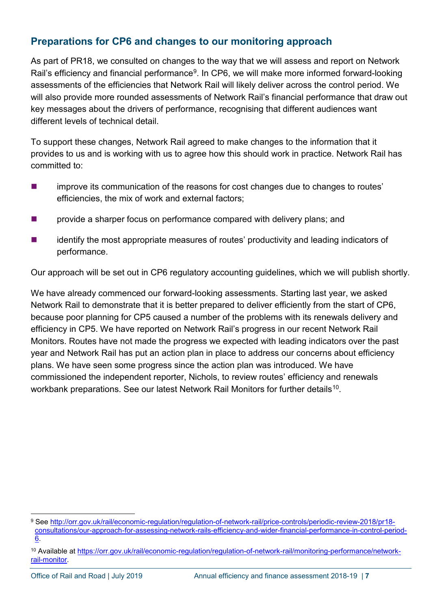### **Preparations for CP6 and changes to our monitoring approach**

As part of PR18, we consulted on changes to the way that we will assess and report on Network Rail's efficiency and financial performance<sup>9</sup>. In CP6, we will make more informed forward-looking assessments of the efficiencies that Network Rail will likely deliver across the control period. We will also provide more rounded assessments of Network Rail's financial performance that draw out key messages about the drivers of performance, recognising that different audiences want different levels of technical detail.

To support these changes, Network Rail agreed to make changes to the information that it provides to us and is working with us to agree how this should work in practice. Network Rail has committed to:

- **EXECUTE:** improve its communication of the reasons for cost changes due to changes to routes' efficiencies, the mix of work and external factors;
- **EXECUTE:** provide a sharper focus on performance compared with delivery plans; and
- identify the most appropriate measures of routes' productivity and leading indicators of performance.

Our approach will be set out in CP6 regulatory accounting guidelines, which we will publish shortly.

We have already commenced our forward-looking assessments. Starting last year, we asked Network Rail to demonstrate that it is better prepared to deliver efficiently from the start of CP6, because poor planning for CP5 caused a number of the problems with its renewals delivery and efficiency in CP5. We have reported on Network Rail's progress in our recent Network Rail Monitors. Routes have not made the progress we expected with leading indicators over the past year and Network Rail has put an action plan in place to address our concerns about efficiency plans. We have seen some progress since the action plan was introduced. We have commissioned the independent reporter, Nichols, to review routes' efficiency and renewals workbank preparations. See our latest Network Rail Monitors for further details<sup>[10](#page-6-1)</sup>.

<span id="page-6-0"></span><sup>9</sup> See [http://orr.gov.uk/rail/economic-regulation/regulation-of-network-rail/price-controls/periodic-review-2018/pr18](http://orr.gov.uk/rail/economic-regulation/regulation-of-network-rail/price-controls/periodic-review-2018/pr18-consultations/our-approach-for-assessing-network-rails-efficiency-and-wider-financial-performance-in-control-period-6) [consultations/our-approach-for-assessing-network-rails-efficiency-and-wider-financial-performance-in-control-period-](http://orr.gov.uk/rail/economic-regulation/regulation-of-network-rail/price-controls/periodic-review-2018/pr18-consultations/our-approach-for-assessing-network-rails-efficiency-and-wider-financial-performance-in-control-period-6)[6.](http://orr.gov.uk/rail/economic-regulation/regulation-of-network-rail/price-controls/periodic-review-2018/pr18-consultations/our-approach-for-assessing-network-rails-efficiency-and-wider-financial-performance-in-control-period-6)

<span id="page-6-1"></span><sup>10</sup> Available at [https://orr.gov.uk/rail/economic-regulation/regulation-of-network-rail/monitoring-performance/network](https://orr.gov.uk/rail/economic-regulation/regulation-of-network-rail/monitoring-performance/network-rail-monitor)[rail-monitor.](https://orr.gov.uk/rail/economic-regulation/regulation-of-network-rail/monitoring-performance/network-rail-monitor)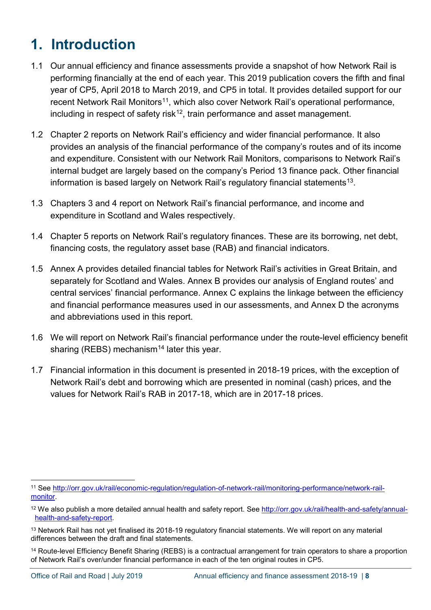# <span id="page-7-0"></span>**1. Introduction**

- 1.1 Our annual efficiency and finance assessments provide a snapshot of how Network Rail is performing financially at the end of each year. This 2019 publication covers the fifth and final year of CP5, April 2018 to March 2019, and CP5 in total. It provides detailed support for our recent Network Rail Monitors<sup>[11](#page-7-1)</sup>, which also cover Network Rail's operational performance, including in respect of safety risk<sup>[12](#page-7-2)</sup>, train performance and asset management.
- 1.2 Chapter 2 reports on Network Rail's efficiency and wider financial performance. It also provides an analysis of the financial performance of the company's routes and of its income and expenditure. Consistent with our Network Rail Monitors, comparisons to Network Rail's internal budget are largely based on the company's Period 13 finance pack. Other financial information is based largely on Network Rail's regulatory financial statements<sup>[13](#page-7-3)</sup>.
- 1.3 Chapters 3 and 4 report on Network Rail's financial performance, and income and expenditure in Scotland and Wales respectively.
- 1.4 Chapter 5 reports on Network Rail's regulatory finances. These are its borrowing, net debt, financing costs, the regulatory asset base (RAB) and financial indicators.
- 1.5 Annex A provides detailed financial tables for Network Rail's activities in Great Britain, and separately for Scotland and Wales. Annex B provides our analysis of England routes' and central services' financial performance. Annex C explains the linkage between the efficiency and financial performance measures used in our assessments, and Annex D the acronyms and abbreviations used in this report.
- 1.6 We will report on Network Rail's financial performance under the route-level efficiency benefit sharing (REBS) mechanism<sup>[14](#page-7-4)</sup> later this year.
- 1.7 Financial information in this document is presented in 2018-19 prices, with the exception of Network Rail's debt and borrowing which are presented in nominal (cash) prices, and the values for Network Rail's RAB in 2017-18, which are in 2017-18 prices.

<span id="page-7-4"></span><sup>14</sup> Route-level Efficiency Benefit Sharing (REBS) is a contractual arrangement for train operators to share a proportion of Network Rail's over/under financial performance in each of the ten original routes in CP5.

<span id="page-7-1"></span> <sup>11</sup> See [http://orr.gov.uk/rail/economic-regulation/regulation-of-network-rail/monitoring-performance/network-rail](http://orr.gov.uk/rail/economic-regulation/regulation-of-network-rail/monitoring-performance/network-rail-monitor)[monitor.](http://orr.gov.uk/rail/economic-regulation/regulation-of-network-rail/monitoring-performance/network-rail-monitor)

<span id="page-7-2"></span><sup>12</sup> We also publish a more detailed annual health and safety report. See [http://orr.gov.uk/rail/health-and-safety/annual](http://orr.gov.uk/rail/health-and-safety/annual-health-and-safety-report)[health-and-safety-report.](http://orr.gov.uk/rail/health-and-safety/annual-health-and-safety-report)

<span id="page-7-3"></span><sup>&</sup>lt;sup>13</sup> Network Rail has not yet finalised its 2018-19 regulatory financial statements. We will report on any material differences between the draft and final statements.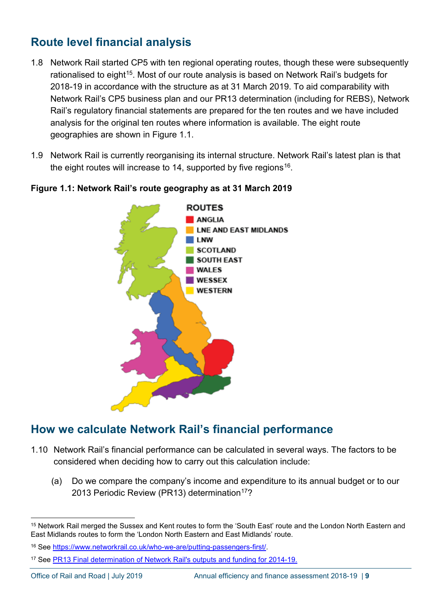## **Route level financial analysis**

- 1.8 Network Rail started CP5 with ten regional operating routes, though these were subsequently rationalised to eight<sup>[15](#page-8-0)</sup>. Most of our route analysis is based on Network Rail's budgets for 2018-19 in accordance with the structure as at 31 March 2019. To aid comparability with Network Rail's CP5 business plan and our PR13 determination (including for REBS), Network Rail's regulatory financial statements are prepared for the ten routes and we have included analysis for the original ten routes where information is available. The eight route geographies are shown in Figure 1.1.
- 1.9 Network Rail is currently reorganising its internal structure. Network Rail's latest plan is that the eight routes will increase to 14, supported by five regions<sup>[16](#page-8-1)</sup>.



### **Figure 1.1: Network Rail's route geography as at 31 March 2019**

## **How we calculate Network Rail's financial performance**

- 1.10 Network Rail's financial performance can be calculated in several ways. The factors to be considered when deciding how to carry out this calculation include:
	- (a) Do we compare the company's income and expenditure to its annual budget or to our 2013 Periodic Review (PR13) determination<sup>[17](#page-8-2)</sup>?

<span id="page-8-0"></span> <sup>15</sup> Network Rail merged the Sussex and Kent routes to form the 'South East' route and the London North Eastern and East Midlands routes to form the 'London North Eastern and East Midlands' route.

<span id="page-8-1"></span><sup>16</sup> See [https://www.networkrail.co.uk/who-we-are/putting-passengers-first/.](https://www.networkrail.co.uk/who-we-are/putting-passengers-first/)

<span id="page-8-2"></span><sup>17</sup> See [PR13 Final determination of Network Rail's outputs and funding for 2014-19.](http://orr.gov.uk/what-and-how-we-regulate/regulation-of-network-rail/how-we-regulate-network-rail/periodic-review-2013/pr13-publications/final-determination)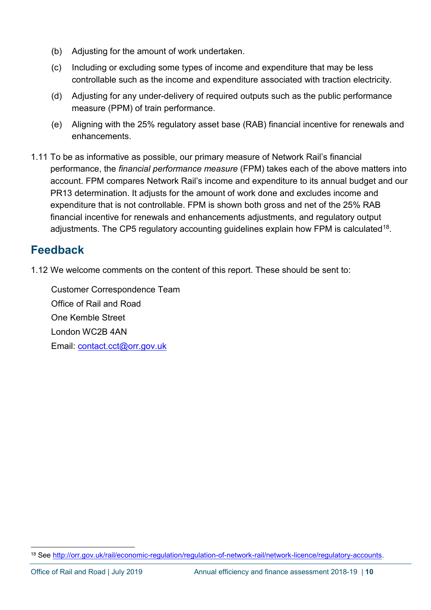- (b) Adjusting for the amount of work undertaken.
- (c) Including or excluding some types of income and expenditure that may be less controllable such as the income and expenditure associated with traction electricity.
- (d) Adjusting for any under-delivery of required outputs such as the public performance measure (PPM) of train performance.
- (e) Aligning with the 25% regulatory asset base (RAB) financial incentive for renewals and enhancements.
- 1.11 To be as informative as possible, our primary measure of Network Rail's financial performance, the *financial performance measure* (FPM) takes each of the above matters into account. FPM compares Network Rail's income and expenditure to its annual budget and our PR13 determination. It adjusts for the amount of work done and excludes income and expenditure that is not controllable. FPM is shown both gross and net of the 25% RAB financial incentive for renewals and enhancements adjustments, and regulatory output adjustments. The CP5 regulatory accounting guidelines explain how FPM is calculated<sup>18</sup>.

## **Feedback**

1.12 We welcome comments on the content of this report. These should be sent to:

Customer Correspondence Team Office of Rail and Road One Kemble Street London WC2B 4AN Email: [contact.cct@orr.gov.uk](mailto:contact.cct@orr.gov.uk)

<span id="page-9-0"></span> <sup>18</sup> See [http://orr.gov.uk/rail/economic-regulation/regulation-of-network-rail/network-licence/regulatory-accounts.](http://orr.gov.uk/rail/economic-regulation/regulation-of-network-rail/network-licence/regulatory-accounts)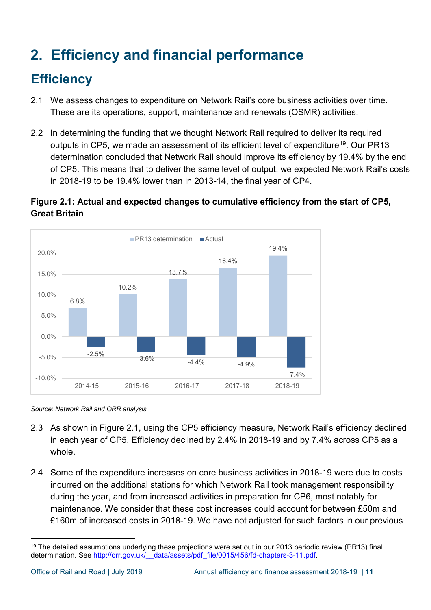# <span id="page-10-0"></span>**2. Efficiency and financial performance**

# <span id="page-10-1"></span>**Efficiency**

- 2.1 We assess changes to expenditure on Network Rail's core business activities over time. These are its operations, support, maintenance and renewals (OSMR) activities.
- 2.2 In determining the funding that we thought Network Rail required to deliver its required outputs in CP5, we made an assessment of its efficient level of expenditure<sup>19</sup>. Our PR13 determination concluded that Network Rail should improve its efficiency by 19.4% by the end of CP5. This means that to deliver the same level of output, we expected Network Rail's costs in 2018-19 to be 19.4% lower than in 2013-14, the final year of CP4.

### **Figure 2.1: Actual and expected changes to cumulative efficiency from the start of CP5, Great Britain**



*Source: Network Rail and ORR analysis*

- 2.3 As shown in Figure 2.1, using the CP5 efficiency measure, Network Rail's efficiency declined in each year of CP5. Efficiency declined by 2.4% in 2018-19 and by 7.4% across CP5 as a whole.
- 2.4 Some of the expenditure increases on core business activities in 2018-19 were due to costs incurred on the additional stations for which Network Rail took management responsibility during the year, and from increased activities in preparation for CP6, most notably for maintenance. We consider that these cost increases could account for between £50m and £160m of increased costs in 2018-19. We have not adjusted for such factors in our previous

<span id="page-10-2"></span><sup>&</sup>lt;sup>19</sup> The detailed assumptions underlying these projections were set out in our 2013 periodic review (PR13) final determination. See [http://orr.gov.uk/\\_\\_data/assets/pdf\\_file/0015/456/fd-chapters-3-11.pdf.](http://orr.gov.uk/__data/assets/pdf_file/0015/456/fd-chapters-3-11.pdf)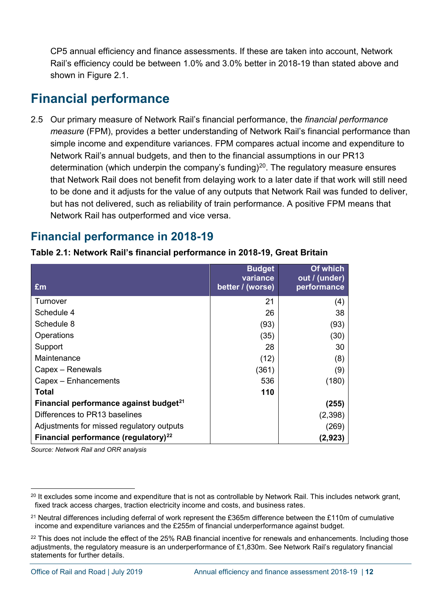CP5 annual efficiency and finance assessments. If these are taken into account, Network Rail's efficiency could be between 1.0% and 3.0% better in 2018-19 than stated above and shown in Figure 2.1.

# <span id="page-11-0"></span>**Financial performance**

2.5 Our primary measure of Network Rail's financial performance, the *financial performance measure* (FPM), provides a better understanding of Network Rail's financial performance than simple income and expenditure variances. FPM compares actual income and expenditure to Network Rail's annual budgets, and then to the financial assumptions in our PR13 determination (which underpin the company's funding)<sup>[20](#page-11-1)</sup>. The regulatory measure ensures that Network Rail does not benefit from delaying work to a later date if that work will still need to be done and it adjusts for the value of any outputs that Network Rail was funded to deliver, but has not delivered, such as reliability of train performance. A positive FPM means that Network Rail has outperformed and vice versa.

### **Financial performance in 2018-19**

|                                                    | <b>Budget</b><br>variance | Of which<br>out / (under) |
|----------------------------------------------------|---------------------------|---------------------------|
| £m                                                 | better / (worse)          | performance               |
| Turnover                                           | 21                        | (4)                       |
| Schedule 4                                         | 26                        | 38                        |
| Schedule 8                                         | (93)                      | (93)                      |
| Operations                                         | (35)                      | (30)                      |
| Support                                            | 28                        | 30                        |
| Maintenance                                        | (12)                      | (8)                       |
| Capex - Renewals                                   | (361)                     | (9)                       |
| Capex - Enhancements                               | 536                       | (180)                     |
| <b>Total</b>                                       | 110                       |                           |
| Financial performance against budget <sup>21</sup> |                           | (255)                     |
| Differences to PR13 baselines                      |                           | (2,398)                   |
| Adjustments for missed regulatory outputs          |                           | (269)                     |
| Financial performance (regulatory) <sup>22</sup>   |                           | (2,923)                   |

**Table 2.1: Network Rail's financial performance in 2018-19, Great Britain**

*Source: Network Rail and ORR analysis*

<span id="page-11-1"></span><sup>&</sup>lt;sup>20</sup> It excludes some income and expenditure that is not as controllable by Network Rail. This includes network grant, fixed track access charges, traction electricity income and costs, and business rates.

<span id="page-11-2"></span><sup>&</sup>lt;sup>21</sup> Neutral differences including deferral of work represent the £365m difference between the £110m of cumulative income and expenditure variances and the £255m of financial underperformance against budget.

<span id="page-11-3"></span> $22$  This does not include the effect of the 25% RAB financial incentive for renewals and enhancements. Including those adjustments, the regulatory measure is an underperformance of £1,830m. See Network Rail's regulatory financial statements for further details.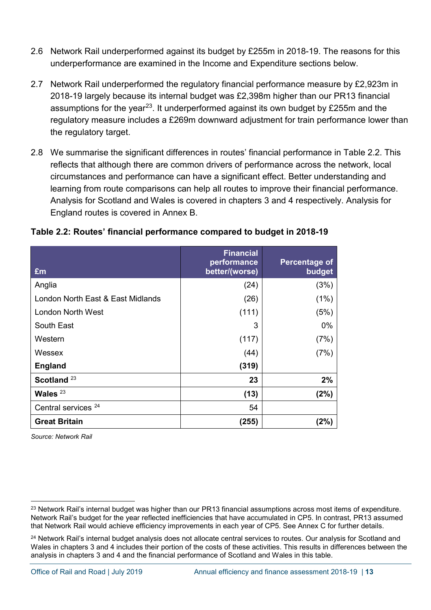- 2.6 Network Rail underperformed against its budget by £255m in 2018-19. The reasons for this underperformance are examined in the Income and Expenditure sections below.
- 2.7 Network Rail underperformed the regulatory financial performance measure by £2,923m in 2018-19 largely because its internal budget was £2,398m higher than our PR13 financial assumptions for the year<sup>23</sup>. It underperformed against its own budget by £255m and the regulatory measure includes a £269m downward adjustment for train performance lower than the regulatory target.
- 2.8 We summarise the significant differences in routes' financial performance in Table 2.2. This reflects that although there are common drivers of performance across the network, local circumstances and performance can have a significant effect. Better understanding and learning from route comparisons can help all routes to improve their financial performance. Analysis for Scotland and Wales is covered in chapters 3 and 4 respectively. Analysis for England routes is covered in Annex B.

#### **Table 2.2: Routes' financial performance compared to budget in 2018-19**

| £m                                | <b>Financial</b><br>performance<br>better/(worse) | Percentage of<br>budget |
|-----------------------------------|---------------------------------------------------|-------------------------|
| Anglia                            | (24)                                              | (3%)                    |
| London North East & East Midlands | (26)                                              | (1%)                    |
| <b>London North West</b>          | (111)                                             | (5%)                    |
| South East                        | 3                                                 | 0%                      |
| Western                           | (117)                                             | (7%)                    |
| Wessex                            | (44)                                              | (7%)                    |
| <b>England</b>                    | (319)                                             |                         |
| Scotland <sup>23</sup>            | 23                                                | 2%                      |
| Wales $23$                        | (13)                                              | (2%)                    |
| Central services <sup>24</sup>    | 54                                                |                         |
| <b>Great Britain</b>              | (255)                                             | (2%)                    |

*Source: Network Rail*

<span id="page-12-0"></span><sup>&</sup>lt;sup>23</sup> Network Rail's internal budget was higher than our PR13 financial assumptions across most items of expenditure. Network Rail's budget for the year reflected inefficiencies that have accumulated in CP5. In contrast, PR13 assumed that Network Rail would achieve efficiency improvements in each year of CP5. See Annex C for further details.

<span id="page-12-1"></span><sup>&</sup>lt;sup>24</sup> Network Rail's internal budget analysis does not allocate central services to routes. Our analysis for Scotland and Wales in chapters 3 and 4 includes their portion of the costs of these activities. This results in differences between the analysis in chapters 3 and 4 and the financial performance of Scotland and Wales in this table.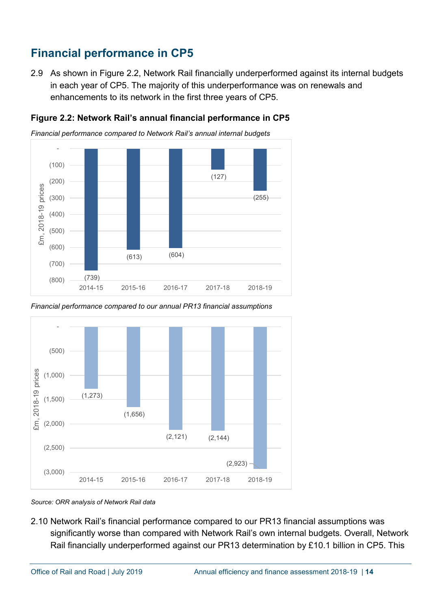# **Financial performance in CP5**

2.9 As shown in Figure 2.2, Network Rail financially underperformed against its internal budgets in each year of CP5. The majority of this underperformance was on renewals and enhancements to its network in the first three years of CP5.



**Figure 2.2: Network Rail's annual financial performance in CP5**

*Financial performance compared to Network Rail's annual internal budgets*

*Financial performance compared to our annual PR13 financial assumptions*



*Source: ORR analysis of Network Rail data*

2.10 Network Rail's financial performance compared to our PR13 financial assumptions was significantly worse than compared with Network Rail's own internal budgets. Overall, Network Rail financially underperformed against our PR13 determination by £10.1 billion in CP5. This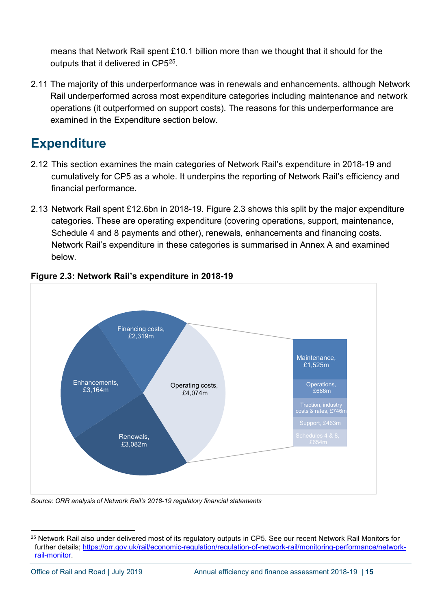means that Network Rail spent £10.1 billion more than we thought that it should for the outputs that it delivered in CP5[25](#page-14-1).

2.11 The majority of this underperformance was in renewals and enhancements, although Network Rail underperformed across most expenditure categories including maintenance and network operations (it outperformed on support costs). The reasons for this underperformance are examined in the Expenditure section below.

# <span id="page-14-0"></span>**Expenditure**

- 2.12 This section examines the main categories of Network Rail's expenditure in 2018-19 and cumulatively for CP5 as a whole. It underpins the reporting of Network Rail's efficiency and financial performance.
- 2.13 Network Rail spent £12.6bn in 2018-19. Figure 2.3 shows this split by the major expenditure categories. These are operating expenditure (covering operations, support, maintenance, Schedule 4 and 8 payments and other), renewals, enhancements and financing costs. Network Rail's expenditure in these categories is summarised in Annex A and examined below.



### **Figure 2.3: Network Rail's expenditure in 2018-19**

*Source: ORR analysis of Network Rail's 2018-19 regulatory financial statements*

<span id="page-14-1"></span> <sup>25</sup> Network Rail also under delivered most of its regulatory outputs in CP5. See our recent Network Rail Monitors for further details; [https://orr.gov.uk/rail/economic-regulation/regulation-of-network-rail/monitoring-performance/network](https://orr.gov.uk/rail/economic-regulation/regulation-of-network-rail/monitoring-performance/network-rail-monitor)[rail-monitor.](https://orr.gov.uk/rail/economic-regulation/regulation-of-network-rail/monitoring-performance/network-rail-monitor)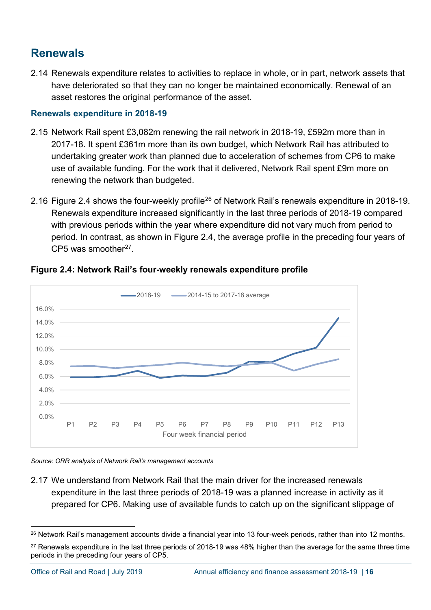## **Renewals**

2.14 Renewals expenditure relates to activities to replace in whole, or in part, network assets that have deteriorated so that they can no longer be maintained economically. Renewal of an asset restores the original performance of the asset.

#### **Renewals expenditure in 2018-19**

- 2.15 Network Rail spent £3,082m renewing the rail network in 2018-19, £592m more than in 2017-18. It spent £361m more than its own budget, which Network Rail has attributed to undertaking greater work than planned due to acceleration of schemes from CP6 to make use of available funding. For the work that it delivered, Network Rail spent £9m more on renewing the network than budgeted.
- 2.16 Figure 2.4 shows the four-weekly profile<sup>[26](#page-15-0)</sup> of Network Rail's renewals expenditure in 2018-19. Renewals expenditure increased significantly in the last three periods of 2018-19 compared with previous periods within the year where expenditure did not vary much from period to period. In contrast, as shown in Figure 2.4, the average profile in the preceding four years of CP5 was smoother $27$ .



#### **Figure 2.4: Network Rail's four-weekly renewals expenditure profile**

*Source: ORR analysis of Network Rail's management accounts*

2.17 We understand from Network Rail that the main driver for the increased renewals expenditure in the last three periods of 2018-19 was a planned increase in activity as it prepared for CP6. Making use of available funds to catch up on the significant slippage of

<span id="page-15-0"></span><sup>&</sup>lt;sup>26</sup> Network Rail's management accounts divide a financial year into 13 four-week periods, rather than into 12 months.

<span id="page-15-1"></span><sup>&</sup>lt;sup>27</sup> Renewals expenditure in the last three periods of 2018-19 was 48% higher than the average for the same three time periods in the preceding four years of CP5.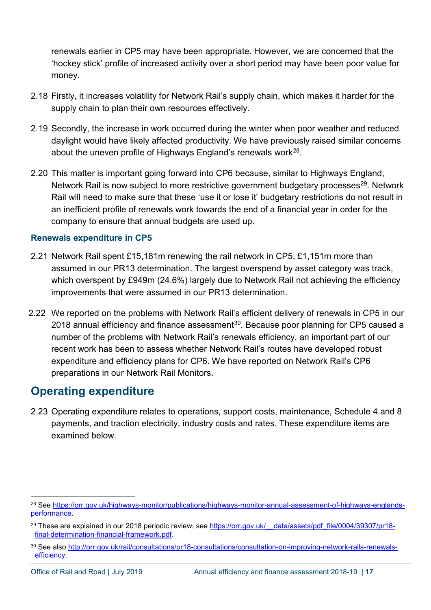renewals earlier in CP5 may have been appropriate. However, we are concerned that the 'hockey stick' profile of increased activity over a short period may have been poor value for money.

- 2.18 Firstly, it increases volatility for Network Rail's supply chain, which makes it harder for the supply chain to plan their own resources effectively.
- 2.19 Secondly, the increase in work occurred during the winter when poor weather and reduced daylight would have likely affected productivity. We have previously raised similar concerns about the uneven profile of Highways England's renewals work<sup>28</sup>.
- 2.20 This matter is important going forward into CP6 because, similar to Highways England, Network Rail is now subject to more restrictive government budgetary processes<sup>[29](#page-16-1)</sup>. Network Rail will need to make sure that these 'use it or lose it' budgetary restrictions do not result in an inefficient profile of renewals work towards the end of a financial year in order for the company to ensure that annual budgets are used up.

#### **Renewals expenditure in CP5**

- 2.21 Network Rail spent £15,181m renewing the rail network in CP5, £1,151m more than assumed in our PR13 determination. The largest overspend by asset category was track, which overspent by £949m (24.6%) largely due to Network Rail not achieving the efficiency improvements that were assumed in our PR13 determination.
- 2.22 We reported on the problems with Network Rail's efficient delivery of renewals in CP5 in our 2018 annual efficiency and finance assessment<sup>30</sup>. Because poor planning for CP5 caused a number of the problems with Network Rail's renewals efficiency, an important part of our recent work has been to assess whether Network Rail's routes have developed robust expenditure and efficiency plans for CP6. We have reported on Network Rail's CP6 preparations in our Network Rail Monitors.

## **Operating expenditure**

2.23 Operating expenditure relates to operations, support costs, maintenance, Schedule 4 and 8 payments, and traction electricity, industry costs and rates. These expenditure items are examined below.

<span id="page-16-0"></span> <sup>28</sup> See [https://orr.gov.uk/highways-monitor/publications/highways-monitor-annual-assessment-of-highways-englands](https://orr.gov.uk/highways-monitor/publications/highways-monitor-annual-assessment-of-highways-englands-performance)[performance.](https://orr.gov.uk/highways-monitor/publications/highways-monitor-annual-assessment-of-highways-englands-performance)

<span id="page-16-1"></span><sup>&</sup>lt;sup>29</sup> These are explained in our 2018 periodic review, see https://orr.gov.uk/ data/assets/pdf\_file/0004/39307/pr18[final-determination-financial-framework.pdf.](https://orr.gov.uk/__data/assets/pdf_file/0004/39307/pr18-final-determination-financial-framework.pdf)

<span id="page-16-2"></span><sup>30</sup> See also [http://orr.gov.uk/rail/consultations/pr18-consultations/consultation-on-improving-network-rails-renewals](http://orr.gov.uk/rail/consultations/pr18-consultations/consultation-on-improving-network-rails-renewals-efficiency)[efficiency.](http://orr.gov.uk/rail/consultations/pr18-consultations/consultation-on-improving-network-rails-renewals-efficiency)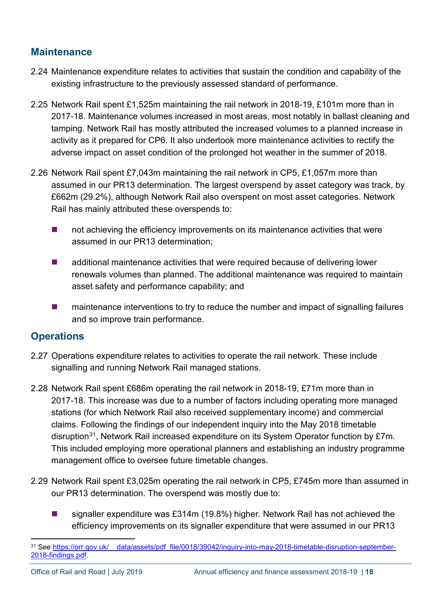### **Maintenance**

- 2.24 Maintenance expenditure relates to activities that sustain the condition and capability of the existing infrastructure to the previously assessed standard of performance.
- 2.25 Network Rail spent £1,525m maintaining the rail network in 2018-19, £101m more than in 2017-18. Maintenance volumes increased in most areas, most notably in ballast cleaning and tamping. Network Rail has mostly attributed the increased volumes to a planned increase in activity as it prepared for CP6. It also undertook more maintenance activities to rectify the adverse impact on asset condition of the prolonged hot weather in the summer of 2018.
- 2.26 Network Rail spent £7,043m maintaining the rail network in CP5, £1,057m more than assumed in our PR13 determination. The largest overspend by asset category was track, by £662m (29.2%), although Network Rail also overspent on most asset categories. Network Rail has mainly attributed these overspends to:
	- **number 10** not achieving the efficiency improvements on its maintenance activities that were assumed in our PR13 determination;
	- **E** additional maintenance activities that were required because of delivering lower renewals volumes than planned. The additional maintenance was required to maintain asset safety and performance capability; and
	- **EXT** maintenance interventions to try to reduce the number and impact of signalling failures and so improve train performance.

### **Operations**

- 2.27 Operations expenditure relates to activities to operate the rail network. These include signalling and running Network Rail managed stations.
- 2.28 Network Rail spent £686m operating the rail network in 2018-19, £71m more than in 2017-18. This increase was due to a number of factors including operating more managed stations (for which Network Rail also received supplementary income) and commercial claims. Following the findings of our independent inquiry into the May 2018 timetable disruption<sup>31</sup>, Network Rail increased expenditure on its System Operator function by £7m. This included employing more operational planners and establishing an industry programme management office to oversee future timetable changes.
- 2.29 Network Rail spent £3,025m operating the rail network in CP5, £745m more than assumed in our PR13 determination. The overspend was mostly due to:
	- signaller expenditure was £314m (19.8%) higher. Network Rail has not achieved the efficiency improvements on its signaller expenditure that were assumed in our PR13

<span id="page-17-0"></span><sup>31</sup> See https://orr.gov.uk/ data/assets/pdf file/0018/39042/inquiry-into-may-2018-timetable-disruption-september-[2018-findings.pdf.](https://orr.gov.uk/__data/assets/pdf_file/0018/39042/inquiry-into-may-2018-timetable-disruption-september-2018-findings.pdf)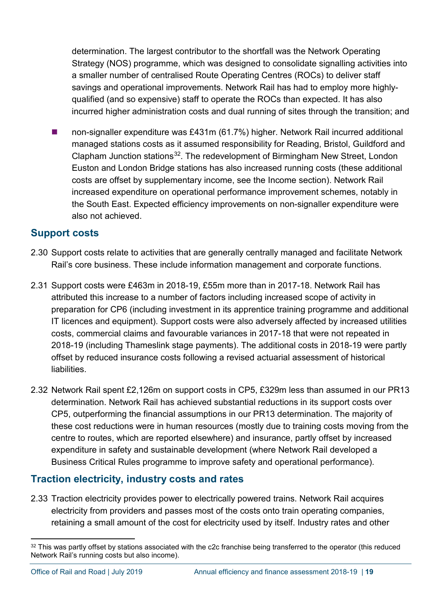determination. The largest contributor to the shortfall was the Network Operating Strategy (NOS) programme, which was designed to consolidate signalling activities into a smaller number of centralised Route Operating Centres (ROCs) to deliver staff savings and operational improvements. Network Rail has had to employ more highlyqualified (and so expensive) staff to operate the ROCs than expected. It has also incurred higher administration costs and dual running of sites through the transition; and

 non-signaller expenditure was £431m (61.7%) higher. Network Rail incurred additional managed stations costs as it assumed responsibility for Reading, Bristol, Guildford and Clapham Junction stations<sup>[32](#page-18-0)</sup>. The redevelopment of Birmingham New Street, London Euston and London Bridge stations has also increased running costs (these additional costs are offset by supplementary income, see the Income section). Network Rail increased expenditure on operational performance improvement schemes, notably in the South East. Expected efficiency improvements on non-signaller expenditure were also not achieved.

### **Support costs**

- 2.30 Support costs relate to activities that are generally centrally managed and facilitate Network Rail's core business. These include information management and corporate functions.
- 2.31 Support costs were £463m in 2018-19, £55m more than in 2017-18. Network Rail has attributed this increase to a number of factors including increased scope of activity in preparation for CP6 (including investment in its apprentice training programme and additional IT licences and equipment). Support costs were also adversely affected by increased utilities costs, commercial claims and favourable variances in 2017-18 that were not repeated in 2018-19 (including Thameslink stage payments). The additional costs in 2018-19 were partly offset by reduced insurance costs following a revised actuarial assessment of historical liabilities.
- 2.32 Network Rail spent £2,126m on support costs in CP5, £329m less than assumed in our PR13 determination. Network Rail has achieved substantial reductions in its support costs over CP5, outperforming the financial assumptions in our PR13 determination. The majority of these cost reductions were in human resources (mostly due to training costs moving from the centre to routes, which are reported elsewhere) and insurance, partly offset by increased expenditure in safety and sustainable development (where Network Rail developed a Business Critical Rules programme to improve safety and operational performance).

### **Traction electricity, industry costs and rates**

2.33 Traction electricity provides power to electrically powered trains. Network Rail acquires electricity from providers and passes most of the costs onto train operating companies, retaining a small amount of the cost for electricity used by itself. Industry rates and other

<span id="page-18-0"></span> $32$  This was partly offset by stations associated with the c2c franchise being transferred to the operator (this reduced Network Rail's running costs but also income).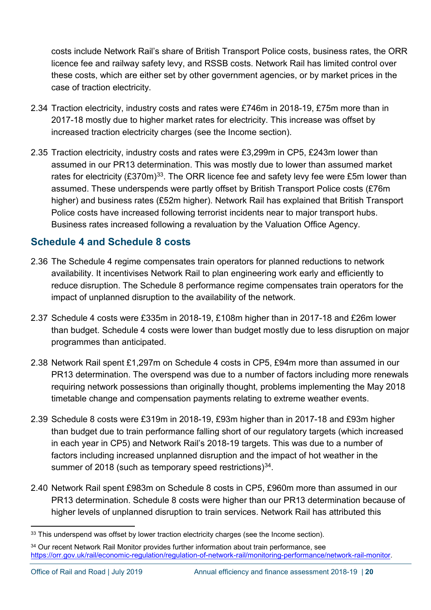costs include Network Rail's share of British Transport Police costs, business rates, the ORR licence fee and railway safety levy, and RSSB costs. Network Rail has limited control over these costs, which are either set by other government agencies, or by market prices in the case of traction electricity.

- 2.34 Traction electricity, industry costs and rates were £746m in 2018-19, £75m more than in 2017-18 mostly due to higher market rates for electricity. This increase was offset by increased traction electricity charges (see the Income section).
- 2.35 Traction electricity, industry costs and rates were £3,299m in CP5, £243m lower than assumed in our PR13 determination. This was mostly due to lower than assumed market rates for electricity  $(\text{\textsterling}370\text{m})^{33}$ . The ORR licence fee and safety levy fee were £5m lower than assumed. These underspends were partly offset by British Transport Police costs (£76m higher) and business rates (£52m higher). Network Rail has explained that British Transport Police costs have increased following terrorist incidents near to major transport hubs. Business rates increased following a revaluation by the Valuation Office Agency.

### **Schedule 4 and Schedule 8 costs**

- 2.36 The Schedule 4 regime compensates train operators for planned reductions to network availability. It incentivises Network Rail to plan engineering work early and efficiently to reduce disruption. The Schedule 8 performance regime compensates train operators for the impact of unplanned disruption to the availability of the network.
- 2.37 Schedule 4 costs were £335m in 2018-19, £108m higher than in 2017-18 and £26m lower than budget. Schedule 4 costs were lower than budget mostly due to less disruption on major programmes than anticipated.
- 2.38 Network Rail spent £1,297m on Schedule 4 costs in CP5, £94m more than assumed in our PR13 determination. The overspend was due to a number of factors including more renewals requiring network possessions than originally thought, problems implementing the May 2018 timetable change and compensation payments relating to extreme weather events.
- 2.39 Schedule 8 costs were £319m in 2018-19, £93m higher than in 2017-18 and £93m higher than budget due to train performance falling short of our regulatory targets (which increased in each year in CP5) and Network Rail's 2018-19 targets. This was due to a number of factors including increased unplanned disruption and the impact of hot weather in the summer of 2018 (such as temporary speed restrictions) $34$ .
- 2.40 Network Rail spent £983m on Schedule 8 costs in CP5, £960m more than assumed in our PR13 determination. Schedule 8 costs were higher than our PR13 determination because of higher levels of unplanned disruption to train services. Network Rail has attributed this

<span id="page-19-0"></span><sup>33</sup> This underspend was offset by lower traction electricity charges (see the Income section).

<span id="page-19-1"></span><sup>&</sup>lt;sup>34</sup> Our recent Network Rail Monitor provides further information about train performance, see [https://orr.gov.uk/rail/economic-regulation/regulation-of-network-rail/monitoring-performance/network-rail-monitor.](https://orr.gov.uk/rail/economic-regulation/regulation-of-network-rail/monitoring-performance/network-rail-monitor)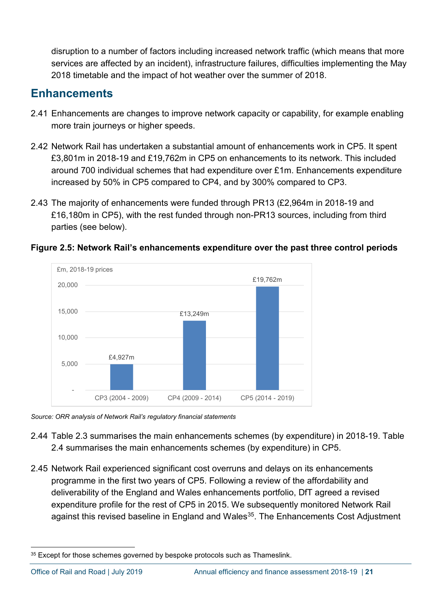disruption to a number of factors including increased network traffic (which means that more services are affected by an incident), infrastructure failures, difficulties implementing the May 2018 timetable and the impact of hot weather over the summer of 2018.

### **Enhancements**

- 2.41 Enhancements are changes to improve network capacity or capability, for example enabling more train journeys or higher speeds.
- 2.42 Network Rail has undertaken a substantial amount of enhancements work in CP5. It spent £3,801m in 2018-19 and £19,762m in CP5 on enhancements to its network. This included around 700 individual schemes that had expenditure over £1m. Enhancements expenditure increased by 50% in CP5 compared to CP4, and by 300% compared to CP3.
- 2.43 The majority of enhancements were funded through PR13 (£2,964m in 2018-19 and £16,180m in CP5), with the rest funded through non-PR13 sources, including from third parties (see below).



**Figure 2.5: Network Rail's enhancements expenditure over the past three control periods**

*Source: ORR analysis of Network Rail's regulatory financial statements*

- 2.44 Table 2.3 summarises the main enhancements schemes (by expenditure) in 2018-19. Table 2.4 summarises the main enhancements schemes (by expenditure) in CP5.
- 2.45 Network Rail experienced significant cost overruns and delays on its enhancements programme in the first two years of CP5. Following a review of the affordability and deliverability of the England and Wales enhancements portfolio, DfT agreed a revised expenditure profile for the rest of CP5 in 2015. We subsequently monitored Network Rail against this revised baseline in England and Wales<sup>[35](#page-20-0)</sup>. The Enhancements Cost Adjustment

<span id="page-20-0"></span><sup>&</sup>lt;sup>35</sup> Except for those schemes governed by bespoke protocols such as Thameslink.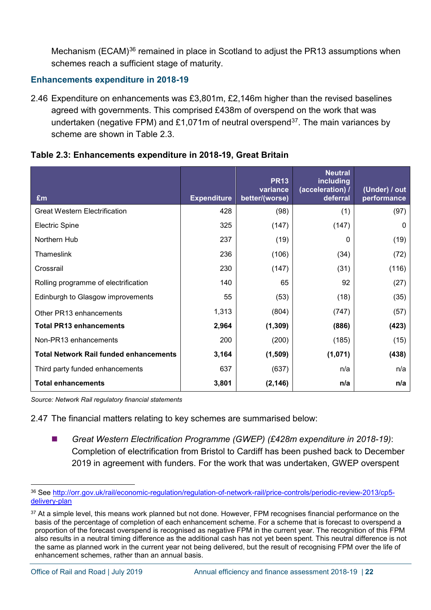Mechanism (ECAM)<sup>[36](#page-21-0)</sup> remained in place in Scotland to adjust the PR13 assumptions when schemes reach a sufficient stage of maturity.

#### **Enhancements expenditure in 2018-19**

2.46 Expenditure on enhancements was £3,801m, £2,146m higher than the revised baselines agreed with governments. This comprised £438m of overspend on the work that was undertaken (negative FPM) and £1,071m of neutral overspend<sup>37</sup>. The main variances by scheme are shown in Table 2.3

| £m                                            | <b>Expenditure</b> | <b>PR13</b><br>variance<br>better/(worse) | <b>Neutral</b><br>including<br>(acceleration) /<br>deferral | (Under) / out<br>performance |
|-----------------------------------------------|--------------------|-------------------------------------------|-------------------------------------------------------------|------------------------------|
| <b>Great Western Electrification</b>          | 428                | (98)                                      | (1)                                                         | (97)                         |
| <b>Electric Spine</b>                         | 325                | (147)                                     | (147)                                                       | $\Omega$                     |
| Northern Hub                                  | 237                | (19)                                      | $\Omega$                                                    | (19)                         |
| Thameslink                                    | 236                | (106)                                     | (34)                                                        | (72)                         |
| Crossrail                                     | 230                | (147)                                     | (31)                                                        | (116)                        |
| Rolling programme of electrification          | 140                | 65                                        | 92                                                          | (27)                         |
| Edinburgh to Glasgow improvements             | 55                 | (53)                                      | (18)                                                        | (35)                         |
| Other PR13 enhancements                       | 1,313              | (804)                                     | (747)                                                       | (57)                         |
| <b>Total PR13 enhancements</b>                | 2,964              | (1, 309)                                  | (886)                                                       | (423)                        |
| Non-PR13 enhancements                         | 200                | (200)                                     | (185)                                                       | (15)                         |
| <b>Total Network Rail funded enhancements</b> | 3,164              | (1,509)                                   | (1,071)                                                     | (438)                        |
| Third party funded enhancements               | 637                | (637)                                     | n/a                                                         | n/a                          |
| <b>Total enhancements</b>                     | 3,801              | (2, 146)                                  | n/a                                                         | n/a                          |

| Table 2.3: Enhancements expenditure in 2018-19, Great Britain |  |
|---------------------------------------------------------------|--|
|---------------------------------------------------------------|--|

*Source: Network Rail regulatory financial statements*

2.47 The financial matters relating to key schemes are summarised below:

 *Great Western Electrification Programme (GWEP) (£428m expenditure in 2018-19)*: Completion of electrification from Bristol to Cardiff has been pushed back to December 2019 in agreement with funders. For the work that was undertaken, GWEP overspent

<span id="page-21-0"></span> <sup>36</sup> See [http://orr.gov.uk/rail/economic-regulation/regulation-of-network-rail/price-controls/periodic-review-2013/cp5](http://orr.gov.uk/rail/economic-regulation/regulation-of-network-rail/price-controls/periodic-review-2013/cp5-delivery-plan) [delivery-plan](http://orr.gov.uk/rail/economic-regulation/regulation-of-network-rail/price-controls/periodic-review-2013/cp5-delivery-plan) 

<span id="page-21-1"></span><sup>&</sup>lt;sup>37</sup> At a simple level, this means work planned but not done. However, FPM recognises financial performance on the basis of the percentage of completion of each enhancement scheme. For a scheme that is forecast to overspend a proportion of the forecast overspend is recognised as negative FPM in the current year. The recognition of this FPM also results in a neutral timing difference as the additional cash has not yet been spent. This neutral difference is not the same as planned work in the current year not being delivered, but the result of recognising FPM over the life of enhancement schemes, rather than an annual basis.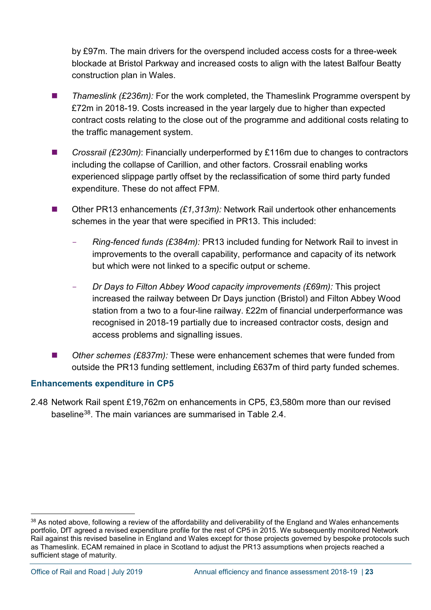by £97m. The main drivers for the overspend included access costs for a three-week blockade at Bristol Parkway and increased costs to align with the latest Balfour Beatty construction plan in Wales.

- *Thameslink (£236m):* For the work completed, the Thameslink Programme overspent by £72m in 2018-19. Costs increased in the year largely due to higher than expected contract costs relating to the close out of the programme and additional costs relating to the traffic management system.
- Crossrail (£230m): Financially underperformed by £116m due to changes to contractors including the collapse of Carillion, and other factors. Crossrail enabling works experienced slippage partly offset by the reclassification of some third party funded expenditure. These do not affect FPM.
- Other PR13 enhancements *(£1,313m):* Network Rail undertook other enhancements schemes in the year that were specified in PR13. This included:
	- *Ring-fenced funds (£384m):* PR13 included funding for Network Rail to invest in improvements to the overall capability, performance and capacity of its network but which were not linked to a specific output or scheme.
	- *Dr Days to Filton Abbey Wood capacity improvements (£69m):* This project increased the railway between Dr Days junction (Bristol) and Filton Abbey Wood station from a two to a four-line railway. £22m of financial underperformance was recognised in 2018-19 partially due to increased contractor costs, design and access problems and signalling issues.
- *Other schemes (£837m):* These were enhancement schemes that were funded from outside the PR13 funding settlement, including £637m of third party funded schemes.

#### **Enhancements expenditure in CP5**

2.48 Network Rail spent £19,762m on enhancements in CP5, £3,580m more than our revised baseline[38](#page-22-0). The main variances are summarised in Table 2.4.

<span id="page-22-0"></span><sup>38</sup> As noted above, following a review of the affordability and deliverability of the England and Wales enhancements portfolio, DfT agreed a revised expenditure profile for the rest of CP5 in 2015. We subsequently monitored Network Rail against this revised baseline in England and Wales except for those projects governed by bespoke protocols such as Thameslink. ECAM remained in place in Scotland to adjust the PR13 assumptions when projects reached a sufficient stage of maturity.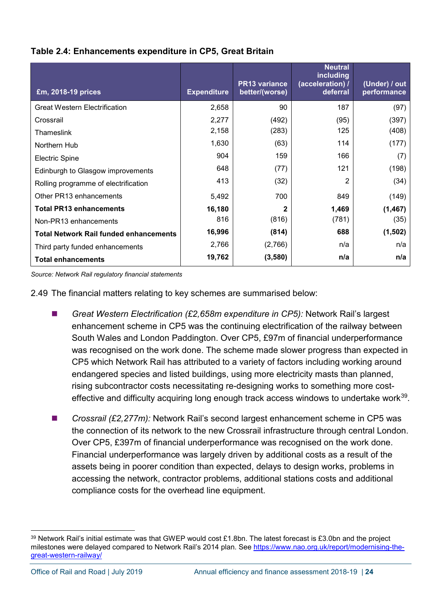| £m, 2018-19 prices                            | <b>Expenditure</b> | <b>PR13 variance</b><br>better/(worse) | <b>Neutral</b><br>including<br>(acceleration) /<br>deferral | (Under) / out<br>performance |
|-----------------------------------------------|--------------------|----------------------------------------|-------------------------------------------------------------|------------------------------|
| <b>Great Western Electrification</b>          | 2,658              | 90                                     | 187                                                         | (97)                         |
| Crossrail                                     | 2,277              | (492)                                  | (95)                                                        | (397)                        |
| Thameslink                                    | 2,158              | (283)                                  | 125                                                         | (408)                        |
| Northern Hub                                  | 1,630              | (63)                                   | 114                                                         | (177)                        |
| <b>Electric Spine</b>                         | 904                | 159                                    | 166                                                         | (7)                          |
| Edinburgh to Glasgow improvements             | 648                | (77)                                   | 121                                                         | (198)                        |
| Rolling programme of electrification          | 413                | (32)                                   | 2                                                           | (34)                         |
| Other PR13 enhancements                       | 5,492              | 700                                    | 849                                                         | (149)                        |
| <b>Total PR13 enhancements</b>                | 16,180             | 2                                      | 1,469                                                       | (1, 467)                     |
| Non-PR13 enhancements                         | 816                | (816)                                  | (781)                                                       | (35)                         |
| <b>Total Network Rail funded enhancements</b> | 16,996             | (814)                                  | 688                                                         | (1,502)                      |
| Third party funded enhancements               | 2,766              | (2,766)                                | n/a                                                         | n/a                          |
| <b>Total enhancements</b>                     | 19,762             | (3,580)                                | n/a                                                         | n/a                          |

#### **Table 2.4: Enhancements expenditure in CP5, Great Britain**

*Source: Network Rail regulatory financial statements* 

2.49 The financial matters relating to key schemes are summarised below:

- *Great Western Electrification (£2.658m expenditure in CP5):* Network Rail's largest enhancement scheme in CP5 was the continuing electrification of the railway between South Wales and London Paddington. Over CP5, £97m of financial underperformance was recognised on the work done. The scheme made slower progress than expected in CP5 which Network Rail has attributed to a variety of factors including working around endangered species and listed buildings, using more electricity masts than planned, rising subcontractor costs necessitating re-designing works to something more costeffective and difficulty acquiring long enough track access windows to undertake work<sup>39</sup>.
- *Crossrail (£2,277m):* Network Rail's second largest enhancement scheme in CP5 was the connection of its network to the new Crossrail infrastructure through central London. Over CP5, £397m of financial underperformance was recognised on the work done. Financial underperformance was largely driven by additional costs as a result of the assets being in poorer condition than expected, delays to design works, problems in accessing the network, contractor problems, additional stations costs and additional compliance costs for the overhead line equipment.

<span id="page-23-0"></span><sup>&</sup>lt;sup>39</sup> Network Rail's initial estimate was that GWEP would cost £1.8bn. The latest forecast is £3.0bn and the project milestones were delayed compared to Network Rail's 2014 plan. See [https://www.nao.org.uk/report/modernising-the](https://www.nao.org.uk/report/modernising-the-great-western-railway/)[great-western-railway/](https://www.nao.org.uk/report/modernising-the-great-western-railway/)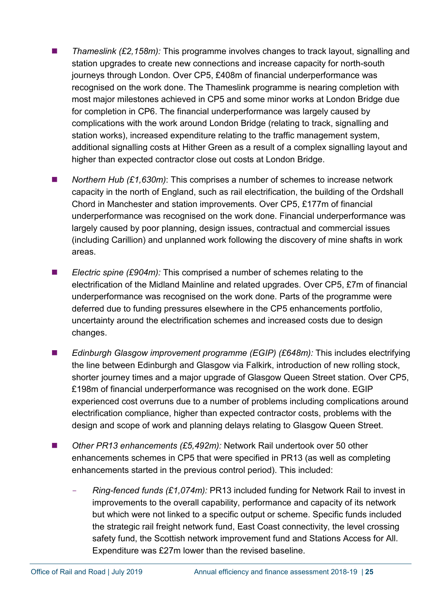- *Thameslink (£2,158m):* This programme involves changes to track layout, signalling and station upgrades to create new connections and increase capacity for north-south journeys through London. Over CP5, £408m of financial underperformance was recognised on the work done. The Thameslink programme is nearing completion with most major milestones achieved in CP5 and some minor works at London Bridge due for completion in CP6. The financial underperformance was largely caused by complications with the work around London Bridge (relating to track, signalling and station works), increased expenditure relating to the traffic management system, additional signalling costs at Hither Green as a result of a complex signalling layout and higher than expected contractor close out costs at London Bridge.
- *Northern Hub (£1,630m)*: This comprises a number of schemes to increase network capacity in the north of England, such as rail electrification, the building of the Ordshall Chord in Manchester and station improvements. Over CP5, £177m of financial underperformance was recognised on the work done. Financial underperformance was largely caused by poor planning, design issues, contractual and commercial issues (including Carillion) and unplanned work following the discovery of mine shafts in work areas.
- *Electric spine (£904m):* This comprised a number of schemes relating to the electrification of the Midland Mainline and related upgrades. Over CP5, £7m of financial underperformance was recognised on the work done. Parts of the programme were deferred due to funding pressures elsewhere in the CP5 enhancements portfolio, uncertainty around the electrification schemes and increased costs due to design changes.
- *Edinburgh Glasgow improvement programme (EGIP)* (£648m): This includes electrifying the line between Edinburgh and Glasgow via Falkirk, introduction of new rolling stock, shorter journey times and a major upgrade of Glasgow Queen Street station. Over CP5, £198m of financial underperformance was recognised on the work done. EGIP experienced cost overruns due to a number of problems including complications around electrification compliance, higher than expected contractor costs, problems with the design and scope of work and planning delays relating to Glasgow Queen Street.
- Other PR13 enhancements (£5,492m): Network Rail undertook over 50 other enhancements schemes in CP5 that were specified in PR13 (as well as completing enhancements started in the previous control period). This included:
	- *Ring-fenced funds (£1,074m):* PR13 included funding for Network Rail to invest in improvements to the overall capability, performance and capacity of its network but which were not linked to a specific output or scheme. Specific funds included the strategic rail freight network fund, East Coast connectivity, the level crossing safety fund, the Scottish network improvement fund and Stations Access for All. Expenditure was £27m lower than the revised baseline.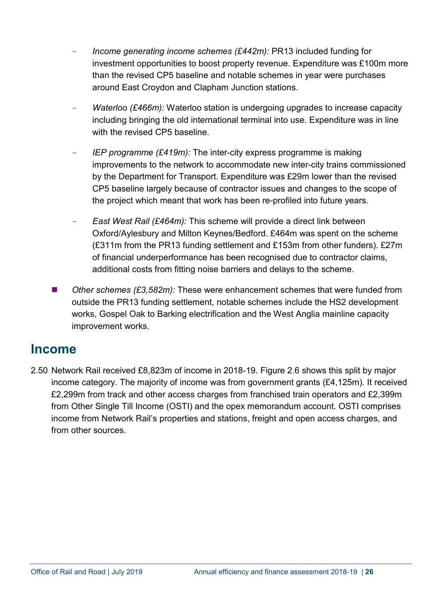- *Income generating income schemes (£442m):* PR13 included funding for investment opportunities to boost property revenue. Expenditure was £100m more than the revised CP5 baseline and notable schemes in year were purchases around East Croydon and Clapham Junction stations.
- *Waterloo (£466m):* Waterloo station is undergoing upgrades to increase capacity including bringing the old international terminal into use. Expenditure was in line with the revised CP5 baseline.
- *IEP programme (£419m):* The inter-city express programme is making improvements to the network to accommodate new inter-city trains commissioned by the Department for Transport. Expenditure was £29m lower than the revised CP5 baseline largely because of contractor issues and changes to the scope of the project which meant that work has been re-profiled into future years.
- *East West Rail (£464m):* This scheme will provide a direct link between Oxford/Aylesbury and Milton Keynes/Bedford. £464m was spent on the scheme (£311m from the PR13 funding settlement and £153m from other funders). £27m of financial underperformance has been recognised due to contractor claims, additional costs from fitting noise barriers and delays to the scheme.
- *Other schemes (£3,582m):* These were enhancement schemes that were funded from outside the PR13 funding settlement, notable schemes include the HS2 development works, Gospel Oak to Barking electrification and the West Anglia mainline capacity improvement works.

### <span id="page-25-0"></span>**Income**

2.50 Network Rail received £8,823m of income in 2018-19. Figure 2.6 shows this split by major income category. The majority of income was from government grants (£4,125m). It received £2,299m from track and other access charges from franchised train operators and £2,399m from Other Single Till Income (OSTI) and the opex memorandum account. OSTI comprises income from Network Rail's properties and stations, freight and open access charges, and from other sources.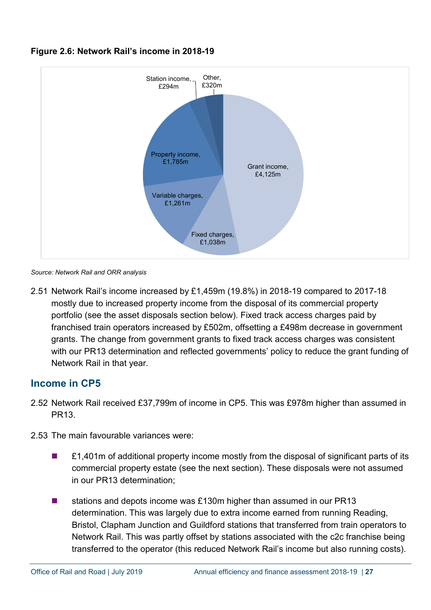

#### **Figure 2.6: Network Rail's income in 2018-19**

*Source: Network Rail and ORR analysis*

2.51 Network Rail's income increased by £1,459m (19.8%) in 2018-19 compared to 2017-18 mostly due to increased property income from the disposal of its commercial property portfolio (see the asset disposals section below). Fixed track access charges paid by franchised train operators increased by £502m, offsetting a £498m decrease in government grants. The change from government grants to fixed track access charges was consistent with our PR13 determination and reflected governments' policy to reduce the grant funding of Network Rail in that year.

### **Income in CP5**

- 2.52 Network Rail received £37,799m of income in CP5. This was £978m higher than assumed in PR13.
- 2.53 The main favourable variances were:
	- £1,401m of additional property income mostly from the disposal of significant parts of its commercial property estate (see the next section). These disposals were not assumed in our PR13 determination;
	- stations and depots income was £130m higher than assumed in our PR13 determination. This was largely due to extra income earned from running Reading, Bristol, Clapham Junction and Guildford stations that transferred from train operators to Network Rail. This was partly offset by stations associated with the c2c franchise being transferred to the operator (this reduced Network Rail's income but also running costs).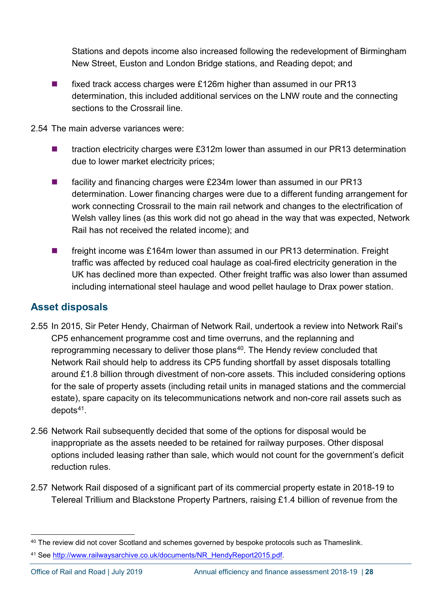Stations and depots income also increased following the redevelopment of Birmingham New Street, Euston and London Bridge stations, and Reading depot; and

- fixed track access charges were £126m higher than assumed in our PR13 determination, this included additional services on the LNW route and the connecting sections to the Crossrail line.
- 2.54 The main adverse variances were:
	- $\blacksquare$  traction electricity charges were £312m lower than assumed in our PR13 determination due to lower market electricity prices;
	- facility and financing charges were £234m lower than assumed in our PR13 determination. Lower financing charges were due to a different funding arrangement for work connecting Crossrail to the main rail network and changes to the electrification of Welsh valley lines (as this work did not go ahead in the way that was expected, Network Rail has not received the related income); and
	- freight income was £164m lower than assumed in our PR13 determination. Freight traffic was affected by reduced coal haulage as coal-fired electricity generation in the UK has declined more than expected. Other freight traffic was also lower than assumed including international steel haulage and wood pellet haulage to Drax power station.

### **Asset disposals**

- 2.55 In 2015, Sir Peter Hendy, Chairman of Network Rail, undertook a review into Network Rail's CP5 enhancement programme cost and time overruns, and the replanning and reprogramming necessary to deliver those plans<sup>[40](#page-27-0)</sup>. The Hendy review concluded that Network Rail should help to address its CP5 funding shortfall by asset disposals totalling around £1.8 billion through divestment of non-core assets. This included considering options for the sale of property assets (including retail units in managed stations and the commercial estate), spare capacity on its telecommunications network and non-core rail assets such as depots<sup>[41](#page-27-1)</sup>.
- 2.56 Network Rail subsequently decided that some of the options for disposal would be inappropriate as the assets needed to be retained for railway purposes. Other disposal options included leasing rather than sale, which would not count for the government's deficit reduction rules.
- 2.57 Network Rail disposed of a significant part of its commercial property estate in 2018-19 to Telereal Trillium and Blackstone Property Partners, raising £1.4 billion of revenue from the

<span id="page-27-0"></span><sup>&</sup>lt;sup>40</sup> The review did not cover Scotland and schemes governed by bespoke protocols such as Thameslink.

<span id="page-27-1"></span><sup>41</sup> See [http://www.railwaysarchive.co.uk/documents/NR\\_HendyReport2015.pdf.](http://www.railwaysarchive.co.uk/documents/NR_HendyReport2015.pdf)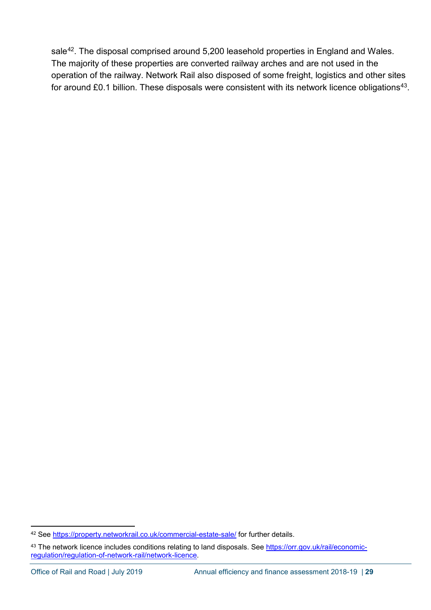sale<sup>[42](#page-28-0)</sup>. The disposal comprised around 5,200 leasehold properties in England and Wales. The majority of these properties are converted railway arches and are not used in the operation of the railway. Network Rail also disposed of some freight, logistics and other sites for around £0.1 billion. These disposals were consistent with its network licence obligations<sup>43</sup>.

<span id="page-28-0"></span><sup>42</sup> See<https://property.networkrail.co.uk/commercial-estate-sale/> for further details.

<span id="page-28-1"></span><sup>43</sup> The network licence includes conditions relating to land disposals. See [https://orr.gov.uk/rail/economic](https://orr.gov.uk/rail/economic-regulation/regulation-of-network-rail/network-licence)[regulation/regulation-of-network-rail/network-licence.](https://orr.gov.uk/rail/economic-regulation/regulation-of-network-rail/network-licence)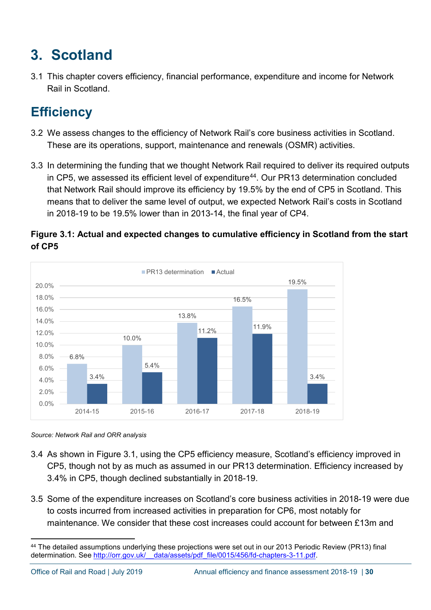# <span id="page-29-0"></span>**3. Scotland**

3.1 This chapter covers efficiency, financial performance, expenditure and income for Network Rail in Scotland.

# <span id="page-29-1"></span>**Efficiency**

- 3.2 We assess changes to the efficiency of Network Rail's core business activities in Scotland. These are its operations, support, maintenance and renewals (OSMR) activities.
- 3.3 In determining the funding that we thought Network Rail required to deliver its required outputs in CP5, we assessed its efficient level of expenditure $44$ . Our PR13 determination concluded that Network Rail should improve its efficiency by 19.5% by the end of CP5 in Scotland. This means that to deliver the same level of output, we expected Network Rail's costs in Scotland in 2018-19 to be 19.5% lower than in 2013-14, the final year of CP4.





*Source: Network Rail and ORR analysis*

- 3.4 As shown in Figure 3.1, using the CP5 efficiency measure, Scotland's efficiency improved in CP5, though not by as much as assumed in our PR13 determination. Efficiency increased by 3.4% in CP5, though declined substantially in 2018-19.
- 3.5 Some of the expenditure increases on Scotland's core business activities in 2018-19 were due to costs incurred from increased activities in preparation for CP6, most notably for maintenance. We consider that these cost increases could account for between £13m and

<span id="page-29-2"></span> <sup>44</sup> The detailed assumptions underlying these projections were set out in our 2013 Periodic Review (PR13) final determination. See [http://orr.gov.uk/\\_\\_data/assets/pdf\\_file/0015/456/fd-chapters-3-11.pdf.](http://orr.gov.uk/__data/assets/pdf_file/0015/456/fd-chapters-3-11.pdf)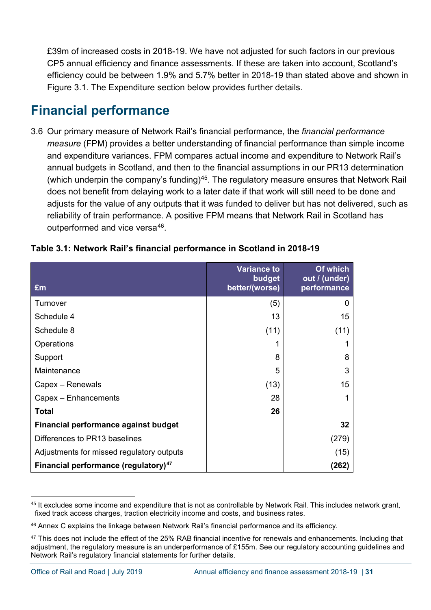£39m of increased costs in 2018-19. We have not adjusted for such factors in our previous CP5 annual efficiency and finance assessments. If these are taken into account, Scotland's efficiency could be between 1.9% and 5.7% better in 2018-19 than stated above and shown in Figure 3.1. The Expenditure section below provides further details.

# <span id="page-30-0"></span>**Financial performance**

3.6 Our primary measure of Network Rail's financial performance, the *financial performance measure* (FPM) provides a better understanding of financial performance than simple income and expenditure variances. FPM compares actual income and expenditure to Network Rail's annual budgets in Scotland, and then to the financial assumptions in our PR13 determination (which underpin the company's funding)<sup>45</sup>. The regulatory measure ensures that Network Rail does not benefit from delaying work to a later date if that work will still need to be done and adjusts for the value of any outputs that it was funded to deliver but has not delivered, such as reliability of train performance. A positive FPM means that Network Rail in Scotland has outperformed and vice versa<sup>46</sup>.

| £m                                               | <b>Variance to</b><br><b>budget</b><br>better/(worse) | Of which<br>out / (under)<br>performance |
|--------------------------------------------------|-------------------------------------------------------|------------------------------------------|
| Turnover                                         | (5)                                                   | 0                                        |
| Schedule 4                                       | 13                                                    | 15                                       |
| Schedule 8                                       | (11)                                                  | (11)                                     |
| Operations                                       |                                                       | 1                                        |
| Support                                          | 8                                                     | 8                                        |
| Maintenance                                      | 5                                                     | 3                                        |
| Capex – Renewals                                 | (13)                                                  | 15                                       |
| Capex - Enhancements                             | 28                                                    | 1                                        |
| <b>Total</b>                                     | 26                                                    |                                          |
| Financial performance against budget             |                                                       | 32 <sub>2</sub>                          |
| Differences to PR13 baselines                    |                                                       | (279)                                    |
| Adjustments for missed regulatory outputs        |                                                       | (15)                                     |
| Financial performance (regulatory) <sup>47</sup> |                                                       | (262)                                    |

#### **Table 3.1: Network Rail's financial performance in Scotland in 2018-19**

<span id="page-30-1"></span><sup>&</sup>lt;sup>45</sup> It excludes some income and expenditure that is not as controllable by Network Rail. This includes network grant, fixed track access charges, traction electricity income and costs, and business rates.

<span id="page-30-2"></span><sup>46</sup> Annex C explains the linkage between Network Rail's financial performance and its efficiency.

<span id="page-30-3"></span><sup>&</sup>lt;sup>47</sup> This does not include the effect of the 25% RAB financial incentive for renewals and enhancements. Including that adjustment, the regulatory measure is an underperformance of £155m. See our regulatory accounting guidelines and Network Rail's regulatory financial statements for further details.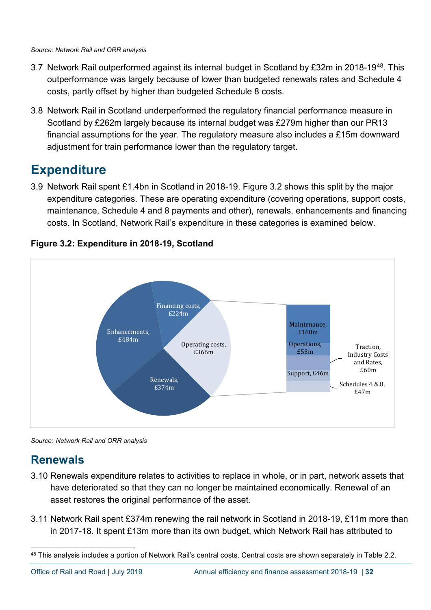- 3.7 Network Rail outperformed against its internal budget in Scotland by £32m in 2018-19<sup>48</sup>. This outperformance was largely because of lower than budgeted renewals rates and Schedule 4 costs, partly offset by higher than budgeted Schedule 8 costs.
- 3.8 Network Rail in Scotland underperformed the regulatory financial performance measure in Scotland by £262m largely because its internal budget was £279m higher than our PR13 financial assumptions for the year. The regulatory measure also includes a £15m downward adjustment for train performance lower than the regulatory target.

# <span id="page-31-0"></span>**Expenditure**

3.9 Network Rail spent £1.4bn in Scotland in 2018-19. Figure 3.2 shows this split by the major expenditure categories. These are operating expenditure (covering operations, support costs, maintenance, Schedule 4 and 8 payments and other), renewals, enhancements and financing costs. In Scotland, Network Rail's expenditure in these categories is examined below.



### **Figure 3.2: Expenditure in 2018-19, Scotland**

*Source: Network Rail and ORR analysis*

## **Renewals**

- 3.10 Renewals expenditure relates to activities to replace in whole, or in part, network assets that have deteriorated so that they can no longer be maintained economically. Renewal of an asset restores the original performance of the asset.
- 3.11 Network Rail spent £374m renewing the rail network in Scotland in 2018-19, £11m more than in 2017-18. It spent £13m more than its own budget, which Network Rail has attributed to

<span id="page-31-1"></span><sup>48</sup> This analysis includes a portion of Network Rail's central costs. Central costs are shown separately in Table 2.2.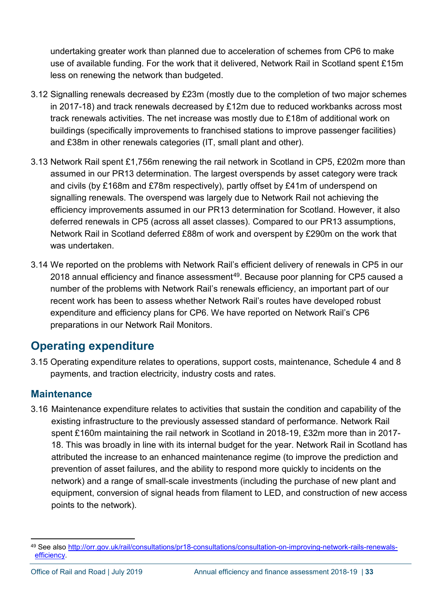undertaking greater work than planned due to acceleration of schemes from CP6 to make use of available funding. For the work that it delivered, Network Rail in Scotland spent £15m less on renewing the network than budgeted.

- 3.12 Signalling renewals decreased by £23m (mostly due to the completion of two major schemes in 2017-18) and track renewals decreased by £12m due to reduced workbanks across most track renewals activities. The net increase was mostly due to £18m of additional work on buildings (specifically improvements to franchised stations to improve passenger facilities) and £38m in other renewals categories (IT, small plant and other).
- 3.13 Network Rail spent £1,756m renewing the rail network in Scotland in CP5, £202m more than assumed in our PR13 determination. The largest overspends by asset category were track and civils (by £168m and £78m respectively), partly offset by £41m of underspend on signalling renewals. The overspend was largely due to Network Rail not achieving the efficiency improvements assumed in our PR13 determination for Scotland. However, it also deferred renewals in CP5 (across all asset classes). Compared to our PR13 assumptions, Network Rail in Scotland deferred £88m of work and overspent by £290m on the work that was undertaken.
- 3.14 We reported on the problems with Network Rail's efficient delivery of renewals in CP5 in our 2018 annual efficiency and finance assessment<sup>[49](#page-32-0)</sup>. Because poor planning for CP5 caused a number of the problems with Network Rail's renewals efficiency, an important part of our recent work has been to assess whether Network Rail's routes have developed robust expenditure and efficiency plans for CP6. We have reported on Network Rail's CP6 preparations in our Network Rail Monitors.

## **Operating expenditure**

3.15 Operating expenditure relates to operations, support costs, maintenance, Schedule 4 and 8 payments, and traction electricity, industry costs and rates.

### **Maintenance**

3.16 Maintenance expenditure relates to activities that sustain the condition and capability of the existing infrastructure to the previously assessed standard of performance. Network Rail spent £160m maintaining the rail network in Scotland in 2018-19, £32m more than in 2017- 18. This was broadly in line with its internal budget for the year. Network Rail in Scotland has attributed the increase to an enhanced maintenance regime (to improve the prediction and prevention of asset failures, and the ability to respond more quickly to incidents on the network) and a range of small-scale investments (including the purchase of new plant and equipment, conversion of signal heads from filament to LED, and construction of new access points to the network).

<span id="page-32-0"></span> <sup>49</sup> See also [http://orr.gov.uk/rail/consultations/pr18-consultations/consultation-on-improving-network-rails-renewals](http://orr.gov.uk/rail/consultations/pr18-consultations/consultation-on-improving-network-rails-renewals-efficiency)[efficiency.](http://orr.gov.uk/rail/consultations/pr18-consultations/consultation-on-improving-network-rails-renewals-efficiency)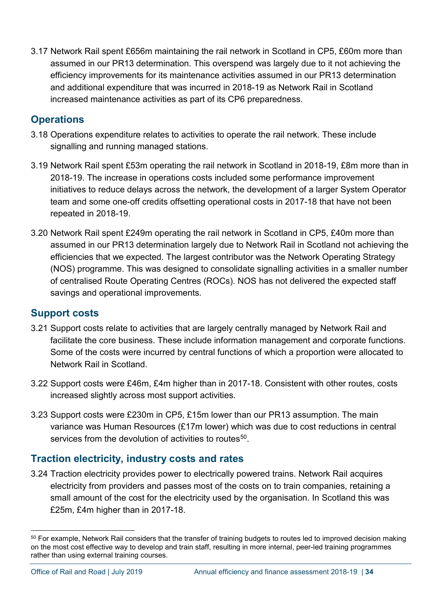3.17 Network Rail spent £656m maintaining the rail network in Scotland in CP5, £60m more than assumed in our PR13 determination. This overspend was largely due to it not achieving the efficiency improvements for its maintenance activities assumed in our PR13 determination and additional expenditure that was incurred in 2018-19 as Network Rail in Scotland increased maintenance activities as part of its CP6 preparedness.

### **Operations**

- 3.18 Operations expenditure relates to activities to operate the rail network. These include signalling and running managed stations.
- 3.19 Network Rail spent £53m operating the rail network in Scotland in 2018-19, £8m more than in 2018-19. The increase in operations costs included some performance improvement initiatives to reduce delays across the network, the development of a larger System Operator team and some one-off credits offsetting operational costs in 2017-18 that have not been repeated in 2018-19.
- 3.20 Network Rail spent £249m operating the rail network in Scotland in CP5, £40m more than assumed in our PR13 determination largely due to Network Rail in Scotland not achieving the efficiencies that we expected. The largest contributor was the Network Operating Strategy (NOS) programme. This was designed to consolidate signalling activities in a smaller number of centralised Route Operating Centres (ROCs). NOS has not delivered the expected staff savings and operational improvements.

### **Support costs**

- 3.21 Support costs relate to activities that are largely centrally managed by Network Rail and facilitate the core business. These include information management and corporate functions. Some of the costs were incurred by central functions of which a proportion were allocated to Network Rail in Scotland.
- 3.22 Support costs were £46m, £4m higher than in 2017-18. Consistent with other routes, costs increased slightly across most support activities.
- 3.23 Support costs were £230m in CP5, £15m lower than our PR13 assumption. The main variance was Human Resources (£17m lower) which was due to cost reductions in central services from the devolution of activities to routes<sup>[50](#page-33-0)</sup>.

### **Traction electricity, industry costs and rates**

3.24 Traction electricity provides power to electrically powered trains. Network Rail acquires electricity from providers and passes most of the costs on to train companies, retaining a small amount of the cost for the electricity used by the organisation. In Scotland this was £25m, £4m higher than in 2017-18.

<span id="page-33-0"></span><sup>&</sup>lt;sup>50</sup> For example, Network Rail considers that the transfer of training budgets to routes led to improved decision making on the most cost effective way to develop and train staff, resulting in more internal, peer-led training programmes rather than using external training courses.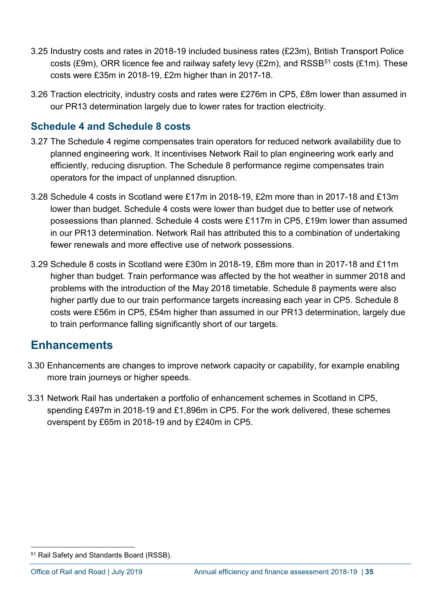- 3.25 Industry costs and rates in 2018-19 included business rates (£23m), British Transport Police costs (£9m), ORR licence fee and railway safety levy (£2m), and RSSB<sup>[51](#page-34-0)</sup> costs (£1m). These costs were £35m in 2018-19, £2m higher than in 2017-18.
- 3.26 Traction electricity, industry costs and rates were £276m in CP5, £8m lower than assumed in our PR13 determination largely due to lower rates for traction electricity.

### **Schedule 4 and Schedule 8 costs**

- 3.27 The Schedule 4 regime compensates train operators for reduced network availability due to planned engineering work. It incentivises Network Rail to plan engineering work early and efficiently, reducing disruption. The Schedule 8 performance regime compensates train operators for the impact of unplanned disruption.
- 3.28 Schedule 4 costs in Scotland were £17m in 2018-19, £2m more than in 2017-18 and £13m lower than budget. Schedule 4 costs were lower than budget due to better use of network possessions than planned. Schedule 4 costs were £117m in CP5, £19m lower than assumed in our PR13 determination. Network Rail has attributed this to a combination of undertaking fewer renewals and more effective use of network possessions.
- 3.29 Schedule 8 costs in Scotland were £30m in 2018-19, £8m more than in 2017-18 and £11m higher than budget. Train performance was affected by the hot weather in summer 2018 and problems with the introduction of the May 2018 timetable. Schedule 8 payments were also higher partly due to our train performance targets increasing each year in CP5. Schedule 8 costs were £56m in CP5, £54m higher than assumed in our PR13 determination, largely due to train performance falling significantly short of our targets.

### **Enhancements**

- 3.30 Enhancements are changes to improve network capacity or capability, for example enabling more train journeys or higher speeds.
- 3.31 Network Rail has undertaken a portfolio of enhancement schemes in Scotland in CP5, spending £497m in 2018-19 and £1,896m in CP5. For the work delivered, these schemes overspent by £65m in 2018-19 and by £240m in CP5.

<span id="page-34-0"></span> <sup>51</sup> Rail Safety and Standards Board (RSSB).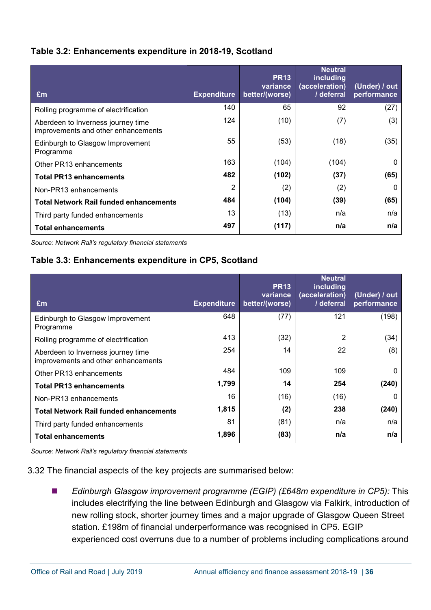#### **Table 3.2: Enhancements expenditure in 2018-19, Scotland**

| Em                                                                        | <b>Expenditure</b> | <b>PR13</b><br>variance<br>better/(worse) | <b>Neutral</b><br>including<br>(acceleration)<br>/ deferral | (Under) / out<br>performance |
|---------------------------------------------------------------------------|--------------------|-------------------------------------------|-------------------------------------------------------------|------------------------------|
| Rolling programme of electrification                                      | 140                | 65                                        | 92                                                          | (27)                         |
| Aberdeen to Inverness journey time<br>improvements and other enhancements | 124                | (10)                                      | (7)                                                         | (3)                          |
| Edinburgh to Glasgow Improvement<br>Programme                             | 55                 | (53)                                      | (18)                                                        | (35)                         |
| Other PR13 enhancements                                                   | 163                | (104)                                     | (104)                                                       | 0                            |
| <b>Total PR13 enhancements</b>                                            | 482                | (102)                                     | (37)                                                        | (65)                         |
| Non-PR13 enhancements                                                     | 2                  | (2)                                       | (2)                                                         | $\Omega$                     |
| <b>Total Network Rail funded enhancements</b>                             | 484                | (104)                                     | (39)                                                        | (65)                         |
| Third party funded enhancements                                           | 13                 | (13)                                      | n/a                                                         | n/a                          |
| <b>Total enhancements</b>                                                 | 497                | (117)                                     | n/a                                                         | n/a                          |

*Source: Network Rail's regulatory financial statements*

#### **Table 3.3: Enhancements expenditure in CP5, Scotland**

| Em                                                                        | <b>Expenditure</b> | <b>PR13</b><br>variance<br>better/(worse) | <b>Neutral</b><br>including<br>(acceleration)<br>/ deferral | (Under) / out<br>performance |
|---------------------------------------------------------------------------|--------------------|-------------------------------------------|-------------------------------------------------------------|------------------------------|
| Edinburgh to Glasgow Improvement<br>Programme                             | 648                | (77)                                      | 121                                                         | (198)                        |
| Rolling programme of electrification                                      | 413                | (32)                                      | 2                                                           | (34)                         |
| Aberdeen to Inverness journey time<br>improvements and other enhancements | 254                | 14                                        | 22                                                          | (8)                          |
| Other PR13 enhancements                                                   | 484                | 109                                       | 109                                                         | $\Omega$                     |
| <b>Total PR13 enhancements</b>                                            | 1,799              | 14                                        | 254                                                         | (240)                        |
| Non-PR13 enhancements                                                     | 16                 | (16)                                      | (16)                                                        | 0                            |
| <b>Total Network Rail funded enhancements</b>                             | 1,815              | (2)                                       | 238                                                         | (240)                        |
| Third party funded enhancements                                           | 81                 | (81)                                      | n/a                                                         | n/a                          |
| <b>Total enhancements</b>                                                 | 1,896              | (83)                                      | n/a                                                         | n/a                          |

*Source: Network Rail's regulatory financial statements*

3.32 The financial aspects of the key projects are summarised below:

 *Edinburgh Glasgow improvement programme (EGIP) (£648m expenditure in CP5):* This includes electrifying the line between Edinburgh and Glasgow via Falkirk, introduction of new rolling stock, shorter journey times and a major upgrade of Glasgow Queen Street station. £198m of financial underperformance was recognised in CP5. EGIP experienced cost overruns due to a number of problems including complications around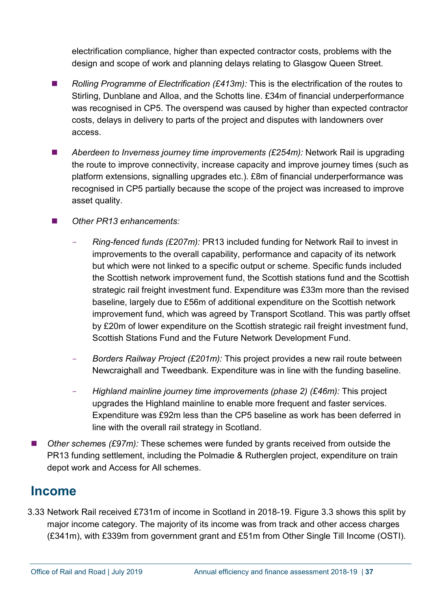electrification compliance, higher than expected contractor costs, problems with the design and scope of work and planning delays relating to Glasgow Queen Street.

- *Rolling Programme of Electrification (£413m):* This is the electrification of the routes to Stirling, Dunblane and Alloa, and the Schotts line. £34m of financial underperformance was recognised in CP5. The overspend was caused by higher than expected contractor costs, delays in delivery to parts of the project and disputes with landowners over access.
- *Aberdeen to Inverness journey time improvements (£254m):* Network Rail is upgrading the route to improve connectivity, increase capacity and improve journey times (such as platform extensions, signalling upgrades etc.). £8m of financial underperformance was recognised in CP5 partially because the scope of the project was increased to improve asset quality.
- *Other PR13 enhancements:*
	- *Ring-fenced funds (£207m):* PR13 included funding for Network Rail to invest in improvements to the overall capability, performance and capacity of its network but which were not linked to a specific output or scheme. Specific funds included the Scottish network improvement fund, the Scottish stations fund and the Scottish strategic rail freight investment fund. Expenditure was £33m more than the revised baseline, largely due to £56m of additional expenditure on the Scottish network improvement fund, which was agreed by Transport Scotland. This was partly offset by £20m of lower expenditure on the Scottish strategic rail freight investment fund, Scottish Stations Fund and the Future Network Development Fund.
	- *Borders Railway Project (£201m):* This project provides a new rail route between Newcraighall and Tweedbank. Expenditure was in line with the funding baseline.
	- *Highland mainline journey time improvements (phase 2) (£46m):* This project upgrades the Highland mainline to enable more frequent and faster services. Expenditure was £92m less than the CP5 baseline as work has been deferred in line with the overall rail strategy in Scotland.
- *Other scheme*s *(£97m):* These schemes were funded by grants received from outside the PR13 funding settlement, including the Polmadie & Rutherglen project, expenditure on train depot work and Access for All schemes.

## <span id="page-36-0"></span>**Income**

3.33 Network Rail received £731m of income in Scotland in 2018-19. Figure 3.3 shows this split by major income category. The majority of its income was from track and other access charges (£341m), with £339m from government grant and £51m from Other Single Till Income (OSTI).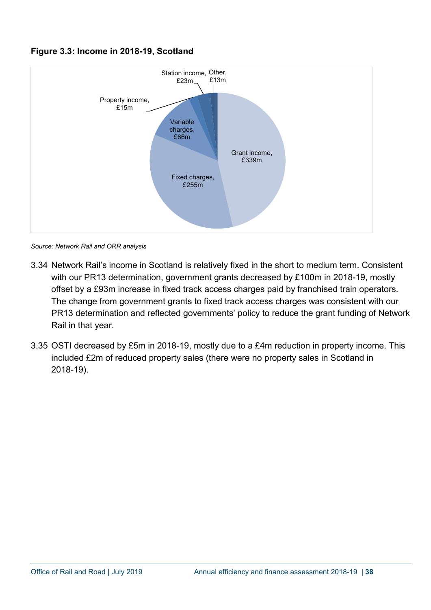#### **Figure 3.3: Income in 2018-19, Scotland**



*Source: Network Rail and ORR analysis*

- 3.34 Network Rail's income in Scotland is relatively fixed in the short to medium term. Consistent with our PR13 determination, government grants decreased by £100m in 2018-19, mostly offset by a £93m increase in fixed track access charges paid by franchised train operators. The change from government grants to fixed track access charges was consistent with our PR13 determination and reflected governments' policy to reduce the grant funding of Network Rail in that year.
- 3.35 OSTI decreased by £5m in 2018-19, mostly due to a £4m reduction in property income. This included £2m of reduced property sales (there were no property sales in Scotland in 2018-19).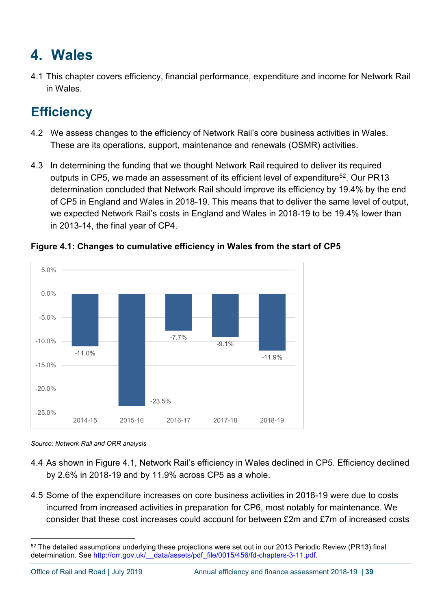# <span id="page-38-0"></span>**4. Wales**

4.1 This chapter covers efficiency, financial performance, expenditure and income for Network Rail in Wales.

# <span id="page-38-1"></span>**Efficiency**

- 4.2 We assess changes to the efficiency of Network Rail's core business activities in Wales. These are its operations, support, maintenance and renewals (OSMR) activities.
- 4.3 In determining the funding that we thought Network Rail required to deliver its required outputs in CP5, we made an assessment of its efficient level of expenditure<sup>52</sup>. Our PR13 determination concluded that Network Rail should improve its efficiency by 19.4% by the end of CP5 in England and Wales in 2018-19. This means that to deliver the same level of output, we expected Network Rail's costs in England and Wales in 2018-19 to be 19.4% lower than in 2013-14, the final year of CP4.



#### **Figure 4.1: Changes to cumulative efficiency in Wales from the start of CP5**

*Source: Network Rail and ORR analysis*

- 4.4 As shown in Figure 4.1, Network Rail's efficiency in Wales declined in CP5. Efficiency declined by 2.6% in 2018-19 and by 11.9% across CP5 as a whole.
- 4.5 Some of the expenditure increases on core business activities in 2018-19 were due to costs incurred from increased activities in preparation for CP6, most notably for maintenance. We consider that these cost increases could account for between £2m and £7m of increased costs

<span id="page-38-2"></span> <sup>52</sup> The detailed assumptions underlying these projections were set out in our 2013 Periodic Review (PR13) final determination. See [http://orr.gov.uk/\\_\\_data/assets/pdf\\_file/0015/456/fd-chapters-3-11.pdf.](http://orr.gov.uk/__data/assets/pdf_file/0015/456/fd-chapters-3-11.pdf)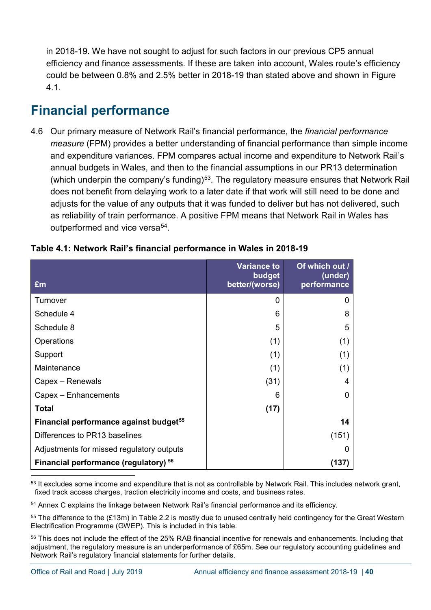in 2018-19. We have not sought to adjust for such factors in our previous CP5 annual efficiency and finance assessments. If these are taken into account, Wales route's efficiency could be between 0.8% and 2.5% better in 2018-19 than stated above and shown in Figure 4.1.

# <span id="page-39-0"></span>**Financial performance**

4.6 Our primary measure of Network Rail's financial performance, the *financial performance measure* (FPM) provides a better understanding of financial performance than simple income and expenditure variances. FPM compares actual income and expenditure to Network Rail's annual budgets in Wales, and then to the financial assumptions in our PR13 determination (which underpin the company's funding)<sup>[53](#page-39-1)</sup>. The regulatory measure ensures that Network Rail does not benefit from delaying work to a later date if that work will still need to be done and adjusts for the value of any outputs that it was funded to deliver but has not delivered, such as reliability of train performance. A positive FPM means that Network Rail in Wales has outperformed and vice versa<sup>[54](#page-39-2)</sup>.

| £m                                                 | <b>Variance to</b><br>budget<br>better/(worse) | Of which out /<br>(under)<br>performance |
|----------------------------------------------------|------------------------------------------------|------------------------------------------|
| Turnover                                           | $\Omega$                                       | 0                                        |
| Schedule 4                                         | 6                                              | 8                                        |
| Schedule 8                                         | 5                                              | 5                                        |
| Operations                                         | (1)                                            | (1)                                      |
| Support                                            | (1)                                            | (1)                                      |
| Maintenance                                        | (1)                                            | (1)                                      |
| Capex - Renewals                                   | (31)                                           | 4                                        |
| Capex - Enhancements                               | 6                                              | O                                        |
| <b>Total</b>                                       | (17)                                           |                                          |
| Financial performance against budget <sup>55</sup> |                                                | 14                                       |
| Differences to PR13 baselines                      |                                                | (151)                                    |
| Adjustments for missed regulatory outputs          |                                                |                                          |
| Financial performance (regulatory) 56              |                                                | (137)                                    |

#### **Table 4.1: Network Rail's financial performance in Wales in 2018-19**

<span id="page-39-2"></span><sup>54</sup> Annex C explains the linkage between Network Rail's financial performance and its efficiency.

<span id="page-39-3"></span> $55$  The difference to the  $(E13m)$  in Table 2.2 is mostly due to unused centrally held contingency for the Great Western Electrification Programme (GWEP). This is included in this table.

<span id="page-39-4"></span><sup>56</sup> This does not include the effect of the 25% RAB financial incentive for renewals and enhancements. Including that adjustment, the regulatory measure is an underperformance of £65m. See our regulatory accounting guidelines and Network Rail's regulatory financial statements for further details.

<span id="page-39-1"></span><sup>&</sup>lt;sup>53</sup> It excludes some income and expenditure that is not as controllable by Network Rail. This includes network grant, fixed track access charges, traction electricity income and costs, and business rates.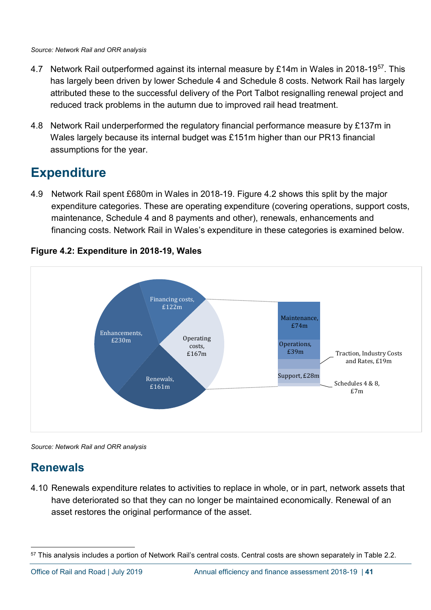- 4.7 Network Rail outperformed against its internal measure by £14m in Wales in 2018-19<sup>57</sup>. This has largely been driven by lower Schedule 4 and Schedule 8 costs. Network Rail has largely attributed these to the successful delivery of the Port Talbot resignalling renewal project and reduced track problems in the autumn due to improved rail head treatment.
- 4.8 Network Rail underperformed the regulatory financial performance measure by £137m in Wales largely because its internal budget was £151m higher than our PR13 financial assumptions for the year.

# <span id="page-40-0"></span>**Expenditure**

4.9 Network Rail spent £680m in Wales in 2018-19. Figure 4.2 shows this split by the major expenditure categories. These are operating expenditure (covering operations, support costs, maintenance, Schedule 4 and 8 payments and other), renewals, enhancements and financing costs. Network Rail in Wales's expenditure in these categories is examined below.



#### **Figure 4.2: Expenditure in 2018-19, Wales**

*Source: Network Rail and ORR analysis*

# **Renewals**

4.10 Renewals expenditure relates to activities to replace in whole, or in part, network assets that have deteriorated so that they can no longer be maintained economically. Renewal of an asset restores the original performance of the asset.

<span id="page-40-1"></span><sup>57</sup> This analysis includes a portion of Network Rail's central costs. Central costs are shown separately in Table 2.2.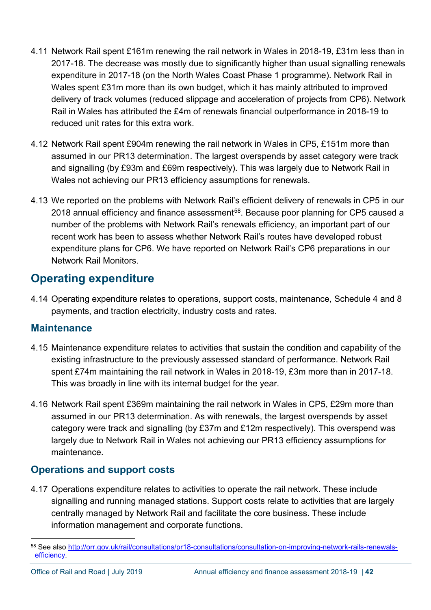- 4.11 Network Rail spent £161m renewing the rail network in Wales in 2018-19, £31m less than in 2017-18. The decrease was mostly due to significantly higher than usual signalling renewals expenditure in 2017-18 (on the North Wales Coast Phase 1 programme). Network Rail in Wales spent £31m more than its own budget, which it has mainly attributed to improved delivery of track volumes (reduced slippage and acceleration of projects from CP6). Network Rail in Wales has attributed the £4m of renewals financial outperformance in 2018-19 to reduced unit rates for this extra work.
- 4.12 Network Rail spent £904m renewing the rail network in Wales in CP5, £151m more than assumed in our PR13 determination. The largest overspends by asset category were track and signalling (by £93m and £69m respectively). This was largely due to Network Rail in Wales not achieving our PR13 efficiency assumptions for renewals.
- 4.13 We reported on the problems with Network Rail's efficient delivery of renewals in CP5 in our 2018 annual efficiency and finance assessment<sup>58</sup>. Because poor planning for CP5 caused a number of the problems with Network Rail's renewals efficiency, an important part of our recent work has been to assess whether Network Rail's routes have developed robust expenditure plans for CP6. We have reported on Network Rail's CP6 preparations in our Network Rail Monitors.

## **Operating expenditure**

4.14 Operating expenditure relates to operations, support costs, maintenance, Schedule 4 and 8 payments, and traction electricity, industry costs and rates.

### **Maintenance**

- 4.15 Maintenance expenditure relates to activities that sustain the condition and capability of the existing infrastructure to the previously assessed standard of performance. Network Rail spent £74m maintaining the rail network in Wales in 2018-19, £3m more than in 2017-18. This was broadly in line with its internal budget for the year.
- 4.16 Network Rail spent £369m maintaining the rail network in Wales in CP5, £29m more than assumed in our PR13 determination. As with renewals, the largest overspends by asset category were track and signalling (by £37m and £12m respectively). This overspend was largely due to Network Rail in Wales not achieving our PR13 efficiency assumptions for maintenance.

### **Operations and support costs**

4.17 Operations expenditure relates to activities to operate the rail network. These include signalling and running managed stations. Support costs relate to activities that are largely centrally managed by Network Rail and facilitate the core business. These include information management and corporate functions.

<span id="page-41-0"></span> <sup>58</sup> See also [http://orr.gov.uk/rail/consultations/pr18-consultations/consultation-on-improving-network-rails-renewals](http://orr.gov.uk/rail/consultations/pr18-consultations/consultation-on-improving-network-rails-renewals-efficiency)[efficiency.](http://orr.gov.uk/rail/consultations/pr18-consultations/consultation-on-improving-network-rails-renewals-efficiency)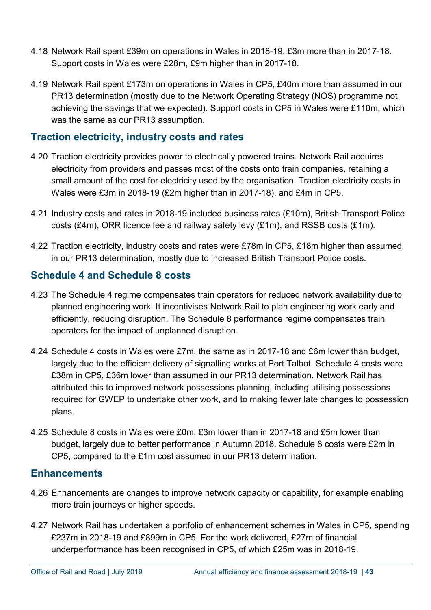- 4.18 Network Rail spent £39m on operations in Wales in 2018-19, £3m more than in 2017-18. Support costs in Wales were £28m, £9m higher than in 2017-18.
- 4.19 Network Rail spent £173m on operations in Wales in CP5, £40m more than assumed in our PR13 determination (mostly due to the Network Operating Strategy (NOS) programme not achieving the savings that we expected). Support costs in CP5 in Wales were £110m, which was the same as our PR13 assumption.

### **Traction electricity, industry costs and rates**

- 4.20 Traction electricity provides power to electrically powered trains. Network Rail acquires electricity from providers and passes most of the costs onto train companies, retaining a small amount of the cost for electricity used by the organisation. Traction electricity costs in Wales were £3m in 2018-19 (£2m higher than in 2017-18), and £4m in CP5.
- 4.21 Industry costs and rates in 2018-19 included business rates (£10m), British Transport Police costs (£4m), ORR licence fee and railway safety levy (£1m), and RSSB costs (£1m).
- 4.22 Traction electricity, industry costs and rates were £78m in CP5, £18m higher than assumed in our PR13 determination, mostly due to increased British Transport Police costs.

### **Schedule 4 and Schedule 8 costs**

- 4.23 The Schedule 4 regime compensates train operators for reduced network availability due to planned engineering work. It incentivises Network Rail to plan engineering work early and efficiently, reducing disruption. The Schedule 8 performance regime compensates train operators for the impact of unplanned disruption.
- 4.24 Schedule 4 costs in Wales were £7m, the same as in 2017-18 and £6m lower than budget, largely due to the efficient delivery of signalling works at Port Talbot. Schedule 4 costs were £38m in CP5, £36m lower than assumed in our PR13 determination. Network Rail has attributed this to improved network possessions planning, including utilising possessions required for GWEP to undertake other work, and to making fewer late changes to possession plans.
- 4.25 Schedule 8 costs in Wales were £0m, £3m lower than in 2017-18 and £5m lower than budget, largely due to better performance in Autumn 2018. Schedule 8 costs were £2m in CP5, compared to the £1m cost assumed in our PR13 determination.

### **Enhancements**

- 4.26 Enhancements are changes to improve network capacity or capability, for example enabling more train journeys or higher speeds.
- 4.27 Network Rail has undertaken a portfolio of enhancement schemes in Wales in CP5, spending £237m in 2018-19 and £899m in CP5. For the work delivered, £27m of financial underperformance has been recognised in CP5, of which £25m was in 2018-19.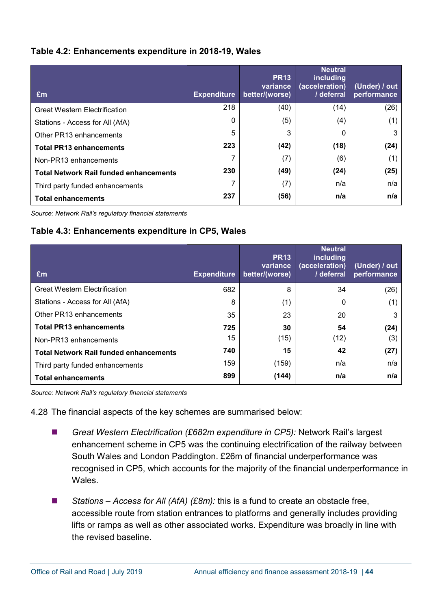#### **Table 4.2: Enhancements expenditure in 2018-19, Wales**

| Em                                            | <b>Expenditure</b> | <b>PR13</b><br>variance<br>better/(worse) | <b>Neutral</b><br><i>including</i><br>(acceleration)<br>/ deferral | (Under) / out<br>performance |
|-----------------------------------------------|--------------------|-------------------------------------------|--------------------------------------------------------------------|------------------------------|
| <b>Great Western Electrification</b>          | 218                | (40)                                      | (14)                                                               | (26)                         |
| Stations - Access for All (AfA)               | 0                  | (5)                                       | (4)                                                                | (1)                          |
| Other PR13 enhancements                       | 5                  | 3                                         | 0                                                                  | 3                            |
| <b>Total PR13 enhancements</b>                | 223                | (42)                                      | (18)                                                               | (24)                         |
| Non-PR13 enhancements                         |                    | (7)                                       | (6)                                                                | (1)                          |
| <b>Total Network Rail funded enhancements</b> | 230                | (49)                                      | (24)                                                               | (25)                         |
| Third party funded enhancements               | 7                  | (7)                                       | n/a                                                                | n/a                          |
| <b>Total enhancements</b>                     | 237                | (56)                                      | n/a                                                                | n/a                          |

*Source: Network Rail's regulatory financial statements*

#### **Table 4.3: Enhancements expenditure in CP5, Wales**

| £m                                            | <b>Expenditure</b> | <b>PR13</b><br>variance<br>better/(worse) | <b>Neutral</b><br><i>including</i><br>(acceleration)<br>/ deferral | (Under) / out<br>performance |
|-----------------------------------------------|--------------------|-------------------------------------------|--------------------------------------------------------------------|------------------------------|
| <b>Great Western Electrification</b>          | 682                | 8                                         | 34                                                                 | (26)                         |
| Stations - Access for All (AfA)               | 8                  | (1)                                       | 0                                                                  | (1)                          |
| Other PR13 enhancements                       | 35                 | 23                                        | 20                                                                 | 3                            |
| <b>Total PR13 enhancements</b>                | 725                | 30                                        | 54                                                                 | (24)                         |
| Non-PR13 enhancements                         | 15                 | (15)                                      | (12)                                                               | (3)                          |
| <b>Total Network Rail funded enhancements</b> | 740                | 15                                        | 42                                                                 | (27)                         |
| Third party funded enhancements               | 159                | (159)                                     | n/a                                                                | n/a                          |
| <b>Total enhancements</b>                     | 899                | (144)                                     | n/a                                                                | n/a                          |

*Source: Network Rail's regulatory financial statements*

4.28 The financial aspects of the key schemes are summarised below:

- *Great Western Electrification (£682m expenditure in CP5):* Network Rail's largest enhancement scheme in CP5 was the continuing electrification of the railway between South Wales and London Paddington. £26m of financial underperformance was recognised in CP5, which accounts for the majority of the financial underperformance in **Wales**
- Stations Access for All (AfA) (£8m): this is a fund to create an obstacle free, accessible route from station entrances to platforms and generally includes providing lifts or ramps as well as other associated works. Expenditure was broadly in line with the revised baseline.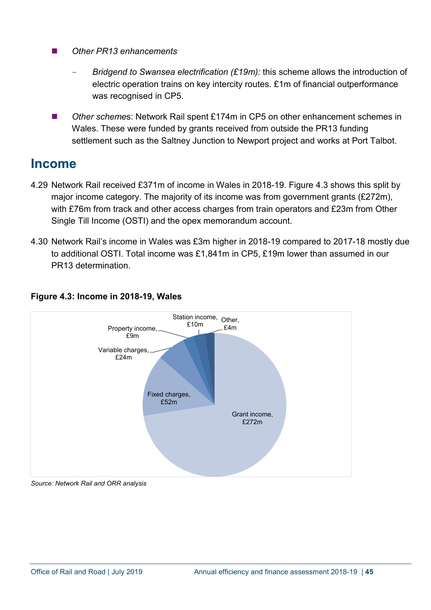- *Other PR13 enhancements*
	- *Bridgend to Swansea electrification (£19m):* this scheme allows the introduction of electric operation trains on key intercity routes. £1m of financial outperformance was recognised in CP5.
- *Other scheme*s: Network Rail spent £174m in CP5 on other enhancement schemes in Wales. These were funded by grants received from outside the PR13 funding settlement such as the Saltney Junction to Newport project and works at Port Talbot.

## <span id="page-44-0"></span>**Income**

- 4.29 Network Rail received £371m of income in Wales in 2018-19. Figure 4.3 shows this split by major income category. The majority of its income was from government grants (£272m), with £76m from track and other access charges from train operators and £23m from Other Single Till Income (OSTI) and the opex memorandum account.
- 4.30 Network Rail's income in Wales was £3m higher in 2018-19 compared to 2017-18 mostly due to additional OSTI. Total income was £1,841m in CP5, £19m lower than assumed in our PR13 determination.



### **Figure 4.3: Income in 2018-19, Wales**

*Source: Network Rail and ORR analysis*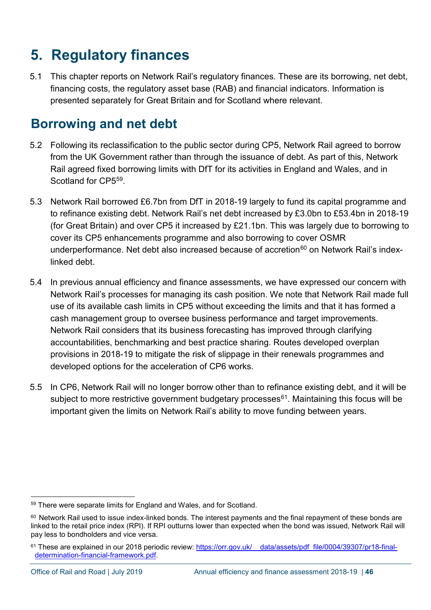# <span id="page-45-0"></span>**5. Regulatory finances**

5.1 This chapter reports on Network Rail's regulatory finances. These are its borrowing, net debt, financing costs, the regulatory asset base (RAB) and financial indicators. Information is presented separately for Great Britain and for Scotland where relevant.

# <span id="page-45-1"></span>**Borrowing and net debt**

- 5.2 Following its reclassification to the public sector during CP5, Network Rail agreed to borrow from the UK Government rather than through the issuance of debt. As part of this, Network Rail agreed fixed borrowing limits with DfT for its activities in England and Wales, and in Scotland for CP5<sup>59</sup>
- 5.3 Network Rail borrowed £6.7bn from DfT in 2018-19 largely to fund its capital programme and to refinance existing debt. Network Rail's net debt increased by £3.0bn to £53.4bn in 2018-19 (for Great Britain) and over CP5 it increased by £21.1bn. This was largely due to borrowing to cover its CP5 enhancements programme and also borrowing to cover OSMR underperformance. Net debt also increased because of accretion<sup>[60](#page-45-3)</sup> on Network Rail's indexlinked debt.
- 5.4 In previous annual efficiency and finance assessments, we have expressed our concern with Network Rail's processes for managing its cash position. We note that Network Rail made full use of its available cash limits in CP5 without exceeding the limits and that it has formed a cash management group to oversee business performance and target improvements. Network Rail considers that its business forecasting has improved through clarifying accountabilities, benchmarking and best practice sharing. Routes developed overplan provisions in 2018-19 to mitigate the risk of slippage in their renewals programmes and developed options for the acceleration of CP6 works.
- 5.5 In CP6, Network Rail will no longer borrow other than to refinance existing debt, and it will be subject to more restrictive government budgetary processes<sup>[61](#page-45-4)</sup>. Maintaining this focus will be important given the limits on Network Rail's ability to move funding between years.

<span id="page-45-2"></span> <sup>59</sup> There were separate limits for England and Wales, and for Scotland.

<span id="page-45-3"></span><sup>60</sup> Network Rail used to issue index-linked bonds. The interest payments and the final repayment of these bonds are linked to the retail price index (RPI). If RPI outturns lower than expected when the bond was issued, Network Rail will pay less to bondholders and vice versa.

<span id="page-45-4"></span><sup>&</sup>lt;sup>61</sup> These are explained in our 2018 periodic review: https://orr.gov.uk/ data/assets/pdf file/0004/39307/pr18-final[determination-financial-framework.pdf.](https://orr.gov.uk/__data/assets/pdf_file/0004/39307/pr18-final-determination-financial-framework.pdf)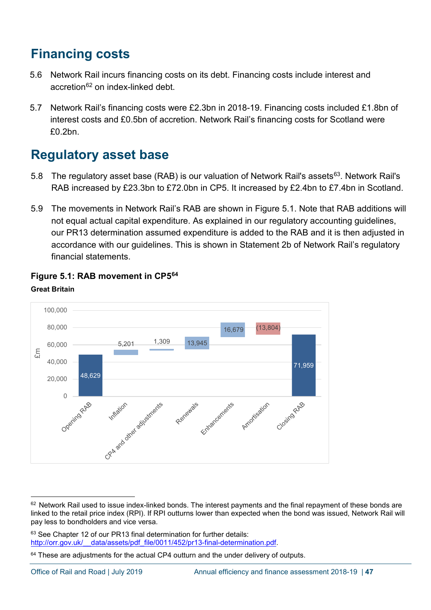# <span id="page-46-0"></span>**Financing costs**

- 5.6 Network Rail incurs financing costs on its debt. Financing costs include interest and accretion<sup>[62](#page-46-2)</sup> on index-linked debt.
- 5.7 Network Rail's financing costs were £2.3bn in 2018-19. Financing costs included £1.8bn of interest costs and £0.5bn of accretion. Network Rail's financing costs for Scotland were £0.2bn.

# <span id="page-46-1"></span>**Regulatory asset base**

- 5.8 The regulatory asset base (RAB) is our valuation of Network Rail's assets<sup>[63](#page-46-3)</sup>. Network Rail's RAB increased by £23.3bn to £72.0bn in CP5. It increased by £2.4bn to £7.4bn in Scotland.
- 5.9 The movements in Network Rail's RAB are shown in Figure 5.1. Note that RAB additions will not equal actual capital expenditure. As explained in our regulatory accounting guidelines, our PR13 determination assumed expenditure is added to the RAB and it is then adjusted in accordance with our guidelines. This is shown in Statement 2b of Network Rail's regulatory financial statements.



### **Figure 5.1: RAB movement in CP5[64](#page-46-4) Great Britain**

<span id="page-46-3"></span>63 See Chapter 12 of our PR13 final determination for further details: http://orr.gov.uk/ data/assets/pdf file/0011/452/pr13-final-determination.pdf.

<span id="page-46-2"></span> $62$  Network Rail used to issue index-linked bonds. The interest payments and the final repayment of these bonds are linked to the retail price index (RPI). If RPI outturns lower than expected when the bond was issued, Network Rail will pay less to bondholders and vice versa.

<span id="page-46-4"></span> $64$  These are adjustments for the actual CP4 outturn and the under delivery of outputs.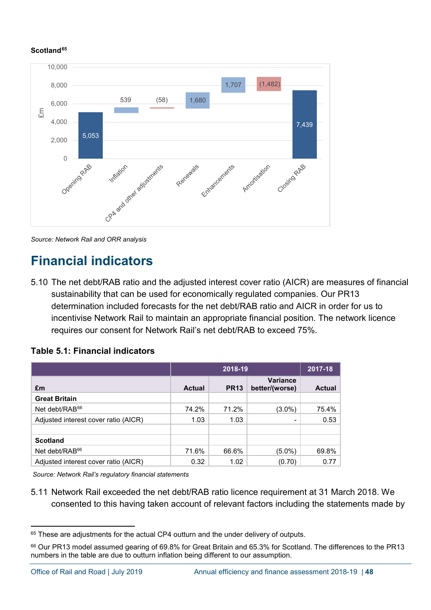#### **Scotland[65](#page-47-2)**



*Source: Network Rail and ORR analysis*

# <span id="page-47-0"></span>**Financial indicators**

5.10 The net debt/RAB ratio and the adjusted interest cover ratio (AICR) are measures of financial sustainability that can be used for economically regulated companies. Our PR13 determination included forecasts for the net debt/RAB ratio and AICR in order for us to incentivise Network Rail to maintain an appropriate financial position. The network licence requires our consent for Network Rail's net debt/RAB to exceed 75%.

| Table 5.1: Financial indicators |  |
|---------------------------------|--|
|---------------------------------|--|

<span id="page-47-1"></span>

|                                      |               | 2018-19     |                                   |               |  |
|--------------------------------------|---------------|-------------|-----------------------------------|---------------|--|
| £m                                   | <b>Actual</b> | <b>PR13</b> | <b>Variance</b><br>better/(worse) | <b>Actual</b> |  |
| <b>Great Britain</b>                 |               |             |                                   |               |  |
| Net debt/RAB <sup>66</sup>           | 74.2%         | 71.2%       | $(3.0\%)$                         | 75.4%         |  |
| Adjusted interest cover ratio (AICR) | 1.03          | 1.03        |                                   | 0.53          |  |
|                                      |               |             |                                   |               |  |
| <b>Scotland</b>                      |               |             |                                   |               |  |
| Net debt/RAB <sup>66</sup>           | 71.6%         | 66.6%       | $(5.0\%)$                         | 69.8%         |  |
| Adjusted interest cover ratio (AICR) | 0.32          | 1.02        | (0.70)                            | 0.77          |  |

*Source: Network Rail's regulatory financial statements*

5.11 Network Rail exceeded the net debt/RAB ratio licence requirement at 31 March 2018. We consented to this having taken account of relevant factors including the statements made by

<span id="page-47-2"></span><sup>&</sup>lt;sup>65</sup> These are adjustments for the actual CP4 outturn and the under delivery of outputs.

<span id="page-47-3"></span><sup>66</sup> Our PR13 model assumed gearing of 69.8% for Great Britain and 65.3% for Scotland. The differences to the PR13 numbers in the table are due to outturn inflation being different to our assumption.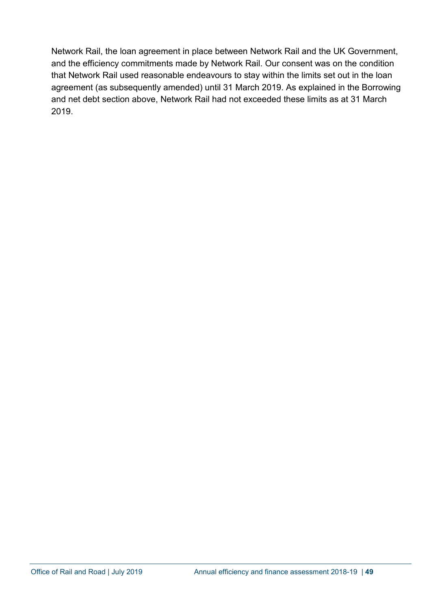Network Rail, the loan agreement in place between Network Rail and the UK Government, and the efficiency commitments made by Network Rail. Our consent was on the condition that Network Rail used reasonable endeavours to stay within the limits set out in the loan agreement (as subsequently amended) until 31 March 2019. As explained in the Borrowing and net debt section above, Network Rail had not exceeded these limits as at 31 March 2019.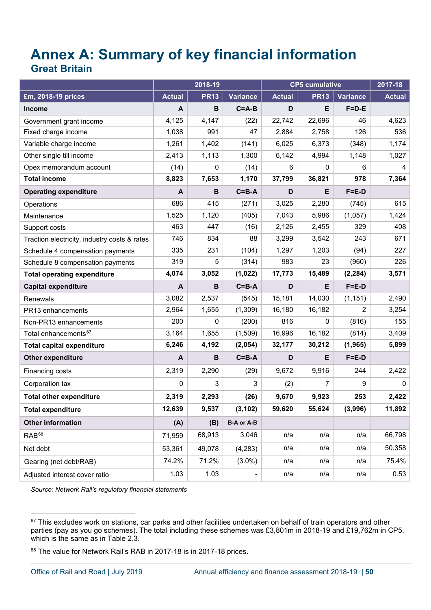# <span id="page-49-1"></span><span id="page-49-0"></span>**Annex A: Summary of key financial information Great Britain**

|                                              | 2018-19       |             | <b>CP5 cumulative</b> |               |             | 2017-18     |               |
|----------------------------------------------|---------------|-------------|-----------------------|---------------|-------------|-------------|---------------|
| £m, 2018-19 prices                           | <b>Actual</b> | <b>PR13</b> | Variance              | <b>Actual</b> | <b>PR13</b> | Variance    | <b>Actual</b> |
| <b>Income</b>                                | A             | $\mathbf B$ | $C = A - B$           | D             | E           | $F=D-E$     |               |
| Government grant income                      | 4,125         | 4,147       | (22)                  | 22,742        | 22,696      | 46          | 4,623         |
| Fixed charge income                          | 1,038         | 991         | 47                    | 2,884         | 2,758       | 126         | 536           |
| Variable charge income                       | 1,261         | 1,402       | (141)                 | 6,025         | 6,373       | (348)       | 1,174         |
| Other single till income                     | 2,413         | 1,113       | 1,300                 | 6,142         | 4,994       | 1,148       | 1,027         |
| Opex memorandum account                      | (14)          | 0           | (14)                  | 6             | 0           | 6           | 4             |
| <b>Total income</b>                          | 8,823         | 7,653       | 1,170                 | 37,799        | 36,821      | 978         | 7,364         |
| <b>Operating expenditure</b>                 | A             | B           | $C = B - A$           | D             | E           | $F = E - D$ |               |
| Operations                                   | 686           | 415         | (271)                 | 3,025         | 2,280       | (745)       | 615           |
| Maintenance                                  | 1,525         | 1,120       | (405)                 | 7,043         | 5,986       | (1,057)     | 1,424         |
| Support costs                                | 463           | 447         | (16)                  | 2,126         | 2,455       | 329         | 408           |
| Traction electricity, industry costs & rates | 746           | 834         | 88                    | 3,299         | 3,542       | 243         | 671           |
| Schedule 4 compensation payments             | 335           | 231         | (104)                 | 1,297         | 1,203       | (94)        | 227           |
| Schedule 8 compensation payments             | 319           | 5           | (314)                 | 983           | 23          | (960)       | 226           |
| <b>Total operating expenditure</b>           | 4,074         | 3,052       | (1,022)               | 17,773        | 15,489      | (2, 284)    | 3,571         |
| <b>Capital expenditure</b>                   | A             | B           | $C = B - A$           | D             | E           | $F = E - D$ |               |
| Renewals                                     | 3,082         | 2,537       | (545)                 | 15,181        | 14,030      | (1, 151)    | 2,490         |
| PR13 enhancements                            | 2,964         | 1,655       | (1, 309)              | 16,180        | 16,182      | 2           | 3,254         |
| Non-PR13 enhancements                        | 200           | 0           | (200)                 | 816           | 0           | (816)       | 155           |
| Total enhancements <sup>67</sup>             | 3,164         | 1,655       | (1,509)               | 16,996        | 16,182      | (814)       | 3,409         |
| <b>Total capital expenditure</b>             | 6,246         | 4,192       | (2,054)               | 32,177        | 30,212      | (1, 965)    | 5,899         |
| Other expenditure                            | A             | B           | $C = B - A$           | D             | E           | $F = E - D$ |               |
| Financing costs                              | 2,319         | 2,290       | (29)                  | 9,672         | 9,916       | 244         | 2,422         |
| Corporation tax                              | $\pmb{0}$     | 3           | 3                     | (2)           | 7           | 9           | 0             |
| <b>Total other expenditure</b>               | 2,319         | 2,293       | (26)                  | 9,670         | 9,923       | 253         | 2,422         |
| <b>Total expenditure</b>                     | 12,639        | 9,537       | (3, 102)              | 59,620        | 55,624      | (3,996)     | 11,892        |
| <b>Other information</b>                     | (A)           | (B)         | <b>B-A or A-B</b>     |               |             |             |               |
| RAB <sup>68</sup>                            | 71,959        | 68,913      | 3,046                 | n/a           | n/a         | n/a         | 66,798        |
| Net debt                                     | 53,361        | 49,078      | (4, 283)              | n/a           | n/a         | n/a         | 50,358        |
| Gearing (net debt/RAB)                       | 74.2%         | 71.2%       | $(3.0\%)$             | n/a           | n/a         | n/a         | 75.4%         |
| Adjusted interest cover ratio                | 1.03          | 1.03        |                       | n/a           | n/a         | n/a         | 0.53          |

*Source: Network Rail's regulatory financial statements*

<span id="page-49-2"></span> $\overline{a}$  $^{67}$  This excludes work on stations, car parks and other facilities undertaken on behalf of train operators and other parties (pay as you go schemes). The total including these schemes was £3,801m in 2018-19 and £19,762m in CP5, which is the same as in Table 2.3.

<span id="page-49-4"></span><span id="page-49-3"></span><sup>68</sup> The value for Network Rail's RAB in 2017-18 is in 2017-18 prices.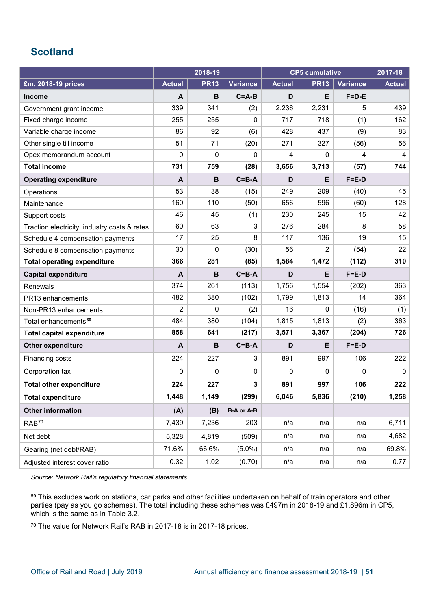### <span id="page-50-0"></span>**Scotland**

|                                              | 2018-19       |             |                   | <b>CP5 cumulative</b> |             |                 |               |
|----------------------------------------------|---------------|-------------|-------------------|-----------------------|-------------|-----------------|---------------|
| £m, 2018-19 prices                           | <b>Actual</b> | <b>PR13</b> | <b>Variance</b>   | <b>Actual</b>         | <b>PR13</b> | <b>Variance</b> | <b>Actual</b> |
| <b>Income</b>                                | A             | B           | $C = A - B$       | D                     | E           | $F = D - E$     |               |
| Government grant income                      | 339           | 341         | (2)               | 2,236                 | 2,231       | 5               | 439           |
| Fixed charge income                          | 255           | 255         | 0                 | 717                   | 718         | (1)             | 162           |
| Variable charge income                       | 86            | 92          | (6)               | 428                   | 437         | (9)             | 83            |
| Other single till income                     | 51            | 71          | (20)              | 271                   | 327         | (56)            | 56            |
| Opex memorandum account                      | $\mathbf 0$   | 0           | 0                 | 4                     | 0           | 4               | 4             |
| <b>Total income</b>                          | 731           | 759         | (28)              | 3,656                 | 3,713       | (57)            | 744           |
| <b>Operating expenditure</b>                 | A             | B           | $C = B - A$       | D                     | E           | $F = E - D$     |               |
| Operations                                   | 53            | 38          | (15)              | 249                   | 209         | (40)            | 45            |
| Maintenance                                  | 160           | 110         | (50)              | 656                   | 596         | (60)            | 128           |
| Support costs                                | 46            | 45          | (1)               | 230                   | 245         | 15              | 42            |
| Traction electricity, industry costs & rates | 60            | 63          | 3                 | 276                   | 284         | 8               | 58            |
| Schedule 4 compensation payments             | 17            | 25          | 8                 | 117                   | 136         | 19              | 15            |
| Schedule 8 compensation payments             | 30            | 0           | (30)              | 56                    | 2           | (54)            | 22            |
| <b>Total operating expenditure</b>           | 366           | 281         | (85)              | 1,584                 | 1,472       | (112)           | 310           |
| <b>Capital expenditure</b>                   | A             | $\mathbf B$ | $C = B - A$       | D                     | E           | $F = E - D$     |               |
| Renewals                                     | 374           | 261         | (113)             | 1,756                 | 1,554       | (202)           | 363           |
| PR13 enhancements                            | 482           | 380         | (102)             | 1,799                 | 1,813       | 14              | 364           |
| Non-PR13 enhancements                        | 2             | 0           | (2)               | 16                    | 0           | (16)            | (1)           |
| Total enhancements <sup>69</sup>             | 484           | 380         | (104)             | 1,815                 | 1,813       | (2)             | 363           |
| <b>Total capital expenditure</b>             | 858           | 641         | (217)             | 3,571                 | 3,367       | (204)           | 726           |
| Other expenditure                            | A             | B           | $C = B - A$       | D                     | E           | $F = E - D$     |               |
| Financing costs                              | 224           | 227         | 3                 | 891                   | 997         | 106             | 222           |
| Corporation tax                              | 0             | 0           | 0                 | 0                     | $\mathbf 0$ | 0               | 0             |
| <b>Total other expenditure</b>               | 224           | 227         | 3                 | 891                   | 997         | 106             | 222           |
| <b>Total expenditure</b>                     | 1,448         | 1,149       | (299)             | 6,046                 | 5,836       | (210)           | 1,258         |
| <b>Other information</b>                     | (A)           | (B)         | <b>B-A or A-B</b> |                       |             |                 |               |
| RAB <sup>70</sup>                            | 7,439         | 7,236       | 203               | n/a                   | n/a         | n/a             | 6,711         |
| Net debt                                     | 5,328         | 4,819       | (509)             | n/a                   | n/a         | n/a             | 4,682         |
| Gearing (net debt/RAB)                       | 71.6%         | 66.6%       | $(5.0\%)$         | n/a                   | n/a         | n/a             | 69.8%         |
| Adjusted interest cover ratio                | 0.32          | 1.02        | (0.70)            | n/a                   | n/a         | n/a             | 0.77          |

*Source: Network Rail's regulatory financial statements*

<span id="page-50-3"></span><span id="page-50-2"></span><sup>70</sup> The value for Network Rail's RAB in 2017-18 is in 2017-18 prices.

<span id="page-50-1"></span> $\overline{a}$ 69 This excludes work on stations, car parks and other facilities undertaken on behalf of train operators and other parties (pay as you go schemes). The total including these schemes was £497m in 2018-19 and £1,896m in CP5, which is the same as in Table 3.2.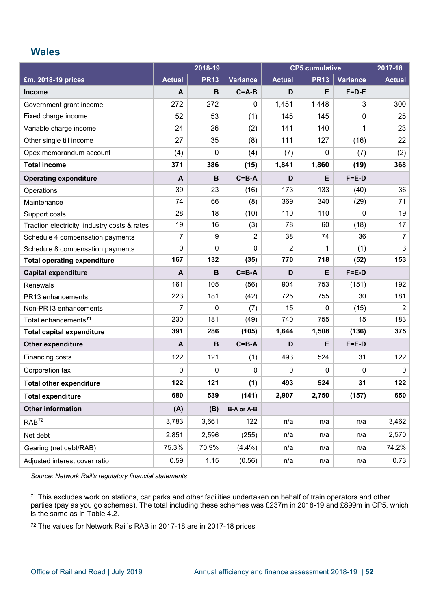### <span id="page-51-0"></span>**Wales**

|                                              | 2018-19       |             | <b>CP5 cumulative</b> |               |              | 2017-18         |                |
|----------------------------------------------|---------------|-------------|-----------------------|---------------|--------------|-----------------|----------------|
| £m, 2018-19 prices                           | <b>Actual</b> | <b>PR13</b> | <b>Variance</b>       | <b>Actual</b> | <b>PR13</b>  | <b>Variance</b> | <b>Actual</b>  |
| <b>Income</b>                                | A             | $\mathbf B$ | $C = A - B$           | D             | E            | $F = D - E$     |                |
| Government grant income                      | 272           | 272         | 0                     | 1,451         | 1,448        | 3               | 300            |
| Fixed charge income                          | 52            | 53          | (1)                   | 145           | 145          | 0               | 25             |
| Variable charge income                       | 24            | 26          | (2)                   | 141           | 140          | 1               | 23             |
| Other single till income                     | 27            | 35          | (8)                   | 111           | 127          | (16)            | 22             |
| Opex memorandum account                      | (4)           | 0           | (4)                   | (7)           | $\mathbf 0$  | (7)             | (2)            |
| <b>Total income</b>                          | 371           | 386         | (15)                  | 1,841         | 1,860        | (19)            | 368            |
| <b>Operating expenditure</b>                 | $\mathbf{A}$  | B           | $C = B - A$           | D             | Е            | $F = E - D$     |                |
| Operations                                   | 39            | 23          | (16)                  | 173           | 133          | (40)            | 36             |
| Maintenance                                  | 74            | 66          | (8)                   | 369           | 340          | (29)            | 71             |
| Support costs                                | 28            | 18          | (10)                  | 110           | 110          | 0               | 19             |
| Traction electricity, industry costs & rates | 19            | 16          | (3)                   | 78            | 60           | (18)            | 17             |
| Schedule 4 compensation payments             | 7             | 9           | 2                     | 38            | 74           | 36              | $\overline{7}$ |
| Schedule 8 compensation payments             | $\mathbf 0$   | 0           | 0                     | 2             | 1            | (1)             | 3              |
| <b>Total operating expenditure</b>           | 167           | 132         | (35)                  | 770           | 718          | (52)            | 153            |
| <b>Capital expenditure</b>                   | A             | B           | $C = B - A$           | D             | Е            | $F = E - D$     |                |
| Renewals                                     | 161           | 105         | (56)                  | 904           | 753          | (151)           | 192            |
| PR13 enhancements                            | 223           | 181         | (42)                  | 725           | 755          | 30              | 181            |
| Non-PR13 enhancements                        | 7             | 0           | (7)                   | 15            | 0            | (15)            | $\overline{2}$ |
| Total enhancements <sup>71</sup>             | 230           | 181         | (49)                  | 740           | 755          | 15              | 183            |
| <b>Total capital expenditure</b>             | 391           | 286         | (105)                 | 1,644         | 1,508        | (136)           | 375            |
| Other expenditure                            | A             | B           | $C = B - A$           | D             | E            | $F = E - D$     |                |
| Financing costs                              | 122           | 121         | (1)                   | 493           | 524          | 31              | 122            |
| Corporation tax                              | $\mathbf{0}$  | 0           | 0                     | 0             | $\mathbf{0}$ | 0               | 0              |
| <b>Total other expenditure</b>               | 122           | 121         | (1)                   | 493           | 524          | 31              | 122            |
| <b>Total expenditure</b>                     | 680           | 539         | (141)                 | 2,907         | 2,750        | (157)           | 650            |
| <b>Other information</b>                     | (A)           | (B)         | <b>B-A or A-B</b>     |               |              |                 |                |
| RAB <sup>72</sup>                            | 3,783         | 3,661       | 122                   | n/a           | n/a          | n/a             | 3,462          |
| Net debt                                     | 2,851         | 2,596       | (255)                 | n/a           | n/a          | n/a             | 2,570          |
| Gearing (net debt/RAB)                       | 75.3%         | 70.9%       | (4.4%)                | n/a           | n/a          | n/a             | 74.2%          |
| Adjusted interest cover ratio                | 0.59          | 1.15        | (0.56)                | n/a           | n/a          | n/a             | 0.73           |

*Source: Network Rail's regulatory financial statements* 

<span id="page-51-3"></span><span id="page-51-2"></span><sup>72</sup> The values for Network Rail's RAB in 2017-18 are in 2017-18 prices

<span id="page-51-1"></span> $\overline{a}$ 71 This excludes work on stations, car parks and other facilities undertaken on behalf of train operators and other parties (pay as you go schemes). The total including these schemes was £237m in 2018-19 and £899m in CP5, which is the same as in Table 4.2.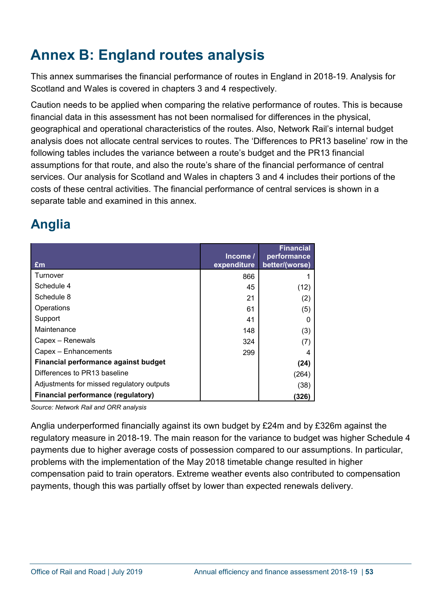# <span id="page-52-0"></span>**Annex B: England routes analysis**

This annex summarises the financial performance of routes in England in 2018-19. Analysis for Scotland and Wales is covered in chapters 3 and 4 respectively.

Caution needs to be applied when comparing the relative performance of routes. This is because financial data in this assessment has not been normalised for differences in the physical, geographical and operational characteristics of the routes. Also, Network Rail's internal budget analysis does not allocate central services to routes. The 'Differences to PR13 baseline' row in the following tables includes the variance between a route's budget and the PR13 financial assumptions for that route, and also the route's share of the financial performance of central services. Our analysis for Scotland and Wales in chapters 3 and 4 includes their portions of the costs of these central activities. The financial performance of central services is shown in a separate table and examined in this annex.

# **Anglia**

| £m                                        | Income/<br>expenditure | <b>Financial</b><br>performance<br>better/(worse) |
|-------------------------------------------|------------------------|---------------------------------------------------|
| Turnover                                  | 866                    |                                                   |
| Schedule 4                                | 45                     | (12)                                              |
| Schedule 8                                | 21                     | (2)                                               |
| Operations                                | 61                     | (5)                                               |
| Support                                   | 41                     | 0                                                 |
| Maintenance                               | 148                    | (3)                                               |
| Capex - Renewals                          | 324                    | (7)                                               |
| Capex - Enhancements                      | 299                    | 4                                                 |
| Financial performance against budget      |                        | (24)                                              |
| Differences to PR13 baseline              |                        | (264)                                             |
| Adjustments for missed regulatory outputs |                        | (38)                                              |
| <b>Financial performance (regulatory)</b> |                        | (326)                                             |

*Source: Network Rail and ORR analysis*

Anglia underperformed financially against its own budget by £24m and by £326m against the regulatory measure in 2018-19. The main reason for the variance to budget was higher Schedule 4 payments due to higher average costs of possession compared to our assumptions. In particular, problems with the implementation of the May 2018 timetable change resulted in higher compensation paid to train operators. Extreme weather events also contributed to compensation payments, though this was partially offset by lower than expected renewals delivery.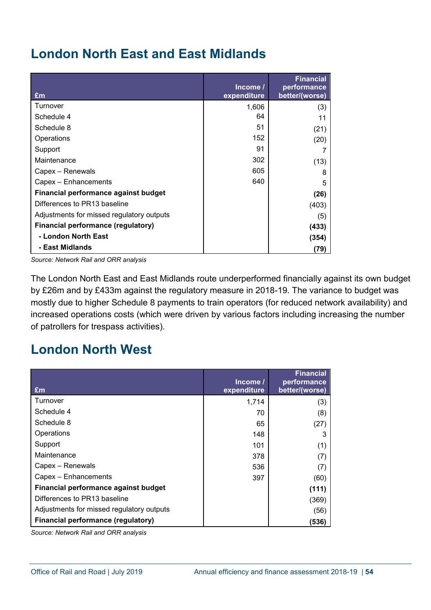# **London North East and East Midlands**

| £m                                        | Income/<br>expenditure | <b>Financial</b><br>performance<br>better/(worse) |
|-------------------------------------------|------------------------|---------------------------------------------------|
| Turnover                                  | 1,606                  | (3)                                               |
| Schedule 4                                | 64                     | 11                                                |
| Schedule 8                                | 51                     | (21)                                              |
| Operations                                | 152                    | (20)                                              |
| Support                                   | 91                     |                                                   |
| Maintenance                               | 302                    | (13)                                              |
| Capex – Renewals                          | 605                    | 8                                                 |
| Capex - Enhancements                      | 640                    | 5                                                 |
| Financial performance against budget      |                        | (26)                                              |
| Differences to PR13 baseline              |                        | (403)                                             |
| Adjustments for missed regulatory outputs |                        | (5)                                               |
| <b>Financial performance (regulatory)</b> |                        | (433)                                             |
| - London North East                       |                        | (354)                                             |
| - East Midlands                           |                        | (79)                                              |

*Source: Network Rail and ORR analysis*

The London North East and East Midlands route underperformed financially against its own budget by £26m and by £433m against the regulatory measure in 2018-19. The variance to budget was mostly due to higher Schedule 8 payments to train operators (for reduced network availability) and increased operations costs (which were driven by various factors including increasing the number of patrollers for trespass activities).

# **London North West**

| £m                                        | Income/<br>expenditure | <b>Financial</b><br>performance<br>better/(worse) |
|-------------------------------------------|------------------------|---------------------------------------------------|
| Turnover                                  | 1,714                  | (3)                                               |
| Schedule 4                                | 70                     | (8)                                               |
| Schedule 8                                | 65                     | (27)                                              |
| Operations                                | 148                    | 3                                                 |
| Support                                   | 101                    | (1)                                               |
| Maintenance                               | 378                    | (7)                                               |
| Capex - Renewals                          | 536                    | (7)                                               |
| Capex - Enhancements                      | 397                    | (60)                                              |
| Financial performance against budget      |                        | (111)                                             |
| Differences to PR13 baseline              |                        | (369)                                             |
| Adjustments for missed regulatory outputs |                        | (56)                                              |
| <b>Financial performance (regulatory)</b> |                        | (536)                                             |

*Source: Network Rail and ORR analysis*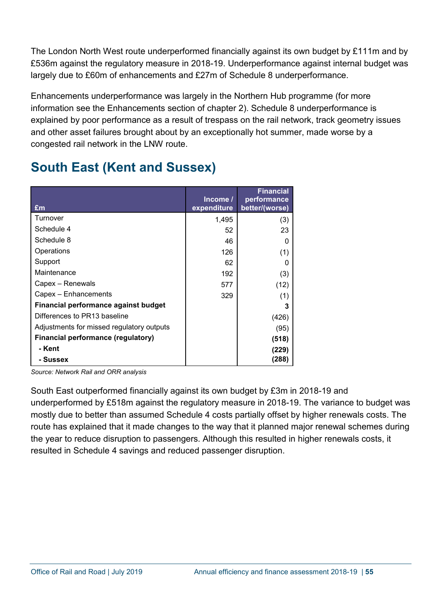The London North West route underperformed financially against its own budget by £111m and by £536m against the regulatory measure in 2018-19. Underperformance against internal budget was largely due to £60m of enhancements and £27m of Schedule 8 underperformance.

Enhancements underperformance was largely in the Northern Hub programme (for more information see the Enhancements section of chapter 2). Schedule 8 underperformance is explained by poor performance as a result of trespass on the rail network, track geometry issues and other asset failures brought about by an exceptionally hot summer, made worse by a congested rail network in the LNW route.

# **South East (Kent and Sussex)**

| £m                                          | Income/<br>expenditure | <b>Financial</b><br>performance<br>better/(worse) |
|---------------------------------------------|------------------------|---------------------------------------------------|
| Turnover                                    | 1,495                  | (3)                                               |
| Schedule 4                                  | 52                     | 23                                                |
| Schedule 8                                  | 46                     | 0                                                 |
| Operations                                  | 126                    | (1)                                               |
| Support                                     | 62                     | 0                                                 |
| Maintenance                                 | 192                    | (3)                                               |
| Capex – Renewals                            | 577                    | (12)                                              |
| Capex - Enhancements                        | 329                    | (1)                                               |
| <b>Financial performance against budget</b> |                        | 3                                                 |
| Differences to PR13 baseline                |                        | (426)                                             |
| Adjustments for missed regulatory outputs   |                        | (95)                                              |
| <b>Financial performance (regulatory)</b>   |                        | (518)                                             |
| - Kent                                      |                        | (229)                                             |
| - Sussex                                    |                        | (288)                                             |

*Source: Network Rail and ORR analysis*

South East outperformed financially against its own budget by £3m in 2018-19 and underperformed by £518m against the regulatory measure in 2018-19. The variance to budget was mostly due to better than assumed Schedule 4 costs partially offset by higher renewals costs. The route has explained that it made changes to the way that it planned major renewal schemes during the year to reduce disruption to passengers. Although this resulted in higher renewals costs, it resulted in Schedule 4 savings and reduced passenger disruption.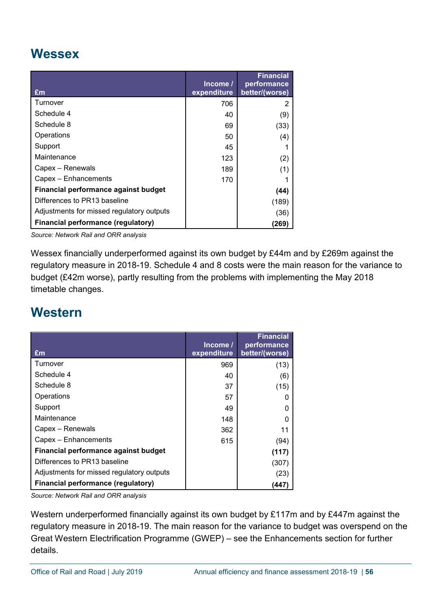# **Wessex**

| £m                                        | Income/<br>expenditure | Financial<br>performance<br>better/(worse) |
|-------------------------------------------|------------------------|--------------------------------------------|
| Turnover                                  | 706                    |                                            |
| Schedule 4                                | 40                     | (9)                                        |
| Schedule 8                                | 69                     | (33)                                       |
| Operations                                | 50                     | (4)                                        |
| Support                                   | 45                     |                                            |
| Maintenance                               | 123                    | (2)                                        |
| Capex - Renewals                          | 189                    | (1)                                        |
| Capex - Enhancements                      | 170                    |                                            |
| Financial performance against budget      |                        | (44)                                       |
| Differences to PR13 baseline              |                        | (189)                                      |
| Adjustments for missed regulatory outputs |                        | (36)                                       |
| <b>Financial performance (regulatory)</b> |                        | (269)                                      |

*Source: Network Rail and ORR analysis*

Wessex financially underperformed against its own budget by £44m and by £269m against the regulatory measure in 2018-19. Schedule 4 and 8 costs were the main reason for the variance to budget (£42m worse), partly resulting from the problems with implementing the May 2018 timetable changes.

# **Western**

| £m                                        | Income/<br>expenditure | <b>Financial</b><br>performance<br>better/(worse) |
|-------------------------------------------|------------------------|---------------------------------------------------|
| Turnover                                  | 969                    | (13)                                              |
| Schedule 4                                | 40                     | (6)                                               |
| Schedule 8                                | 37                     | (15)                                              |
| Operations                                | 57                     |                                                   |
| Support                                   | 49                     | $\Omega$                                          |
| Maintenance                               | 148                    |                                                   |
| Capex – Renewals                          | 362                    | 11                                                |
| Capex - Enhancements                      | 615                    | (94)                                              |
| Financial performance against budget      |                        | (117)                                             |
| Differences to PR13 baseline              |                        | (307)                                             |
| Adjustments for missed regulatory outputs |                        | (23)                                              |
| <b>Financial performance (regulatory)</b> |                        | (447)                                             |

*Source: Network Rail and ORR analysis*

Western underperformed financially against its own budget by £117m and by £447m against the regulatory measure in 2018-19. The main reason for the variance to budget was overspend on the Great Western Electrification Programme (GWEP) – see the Enhancements section for further details.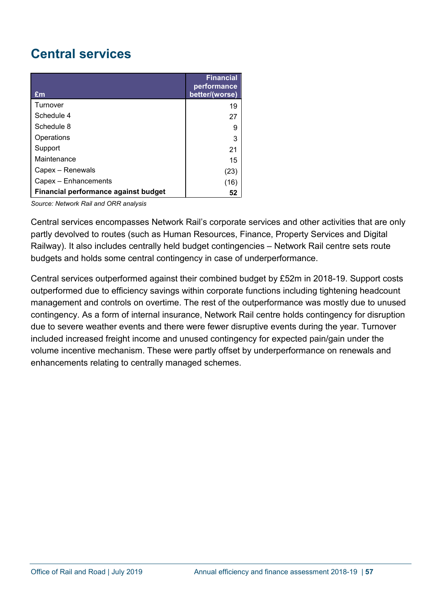# **Central services**

| $\mathbf{f}$ m                       | <b>Financial</b><br>performance<br>better/(worse) |
|--------------------------------------|---------------------------------------------------|
| Turnover                             | 19                                                |
| Schedule 4                           | 27                                                |
| Schedule 8                           | 9                                                 |
| Operations                           | 3                                                 |
| Support                              | 21                                                |
| Maintenance                          | 15                                                |
| Capex - Renewals                     | (23)                                              |
| Capex - Enhancements                 | (16)                                              |
| Financial performance against budget | 52                                                |

*Source: Network Rail and ORR analysis*

Central services encompasses Network Rail's corporate services and other activities that are only partly devolved to routes (such as Human Resources, Finance, Property Services and Digital Railway). It also includes centrally held budget contingencies – Network Rail centre sets route budgets and holds some central contingency in case of underperformance.

Central services outperformed against their combined budget by £52m in 2018-19. Support costs outperformed due to efficiency savings within corporate functions including tightening headcount management and controls on overtime. The rest of the outperformance was mostly due to unused contingency. As a form of internal insurance, Network Rail centre holds contingency for disruption due to severe weather events and there were fewer disruptive events during the year. Turnover included increased freight income and unused contingency for expected pain/gain under the volume incentive mechanism. These were partly offset by underperformance on renewals and enhancements relating to centrally managed schemes.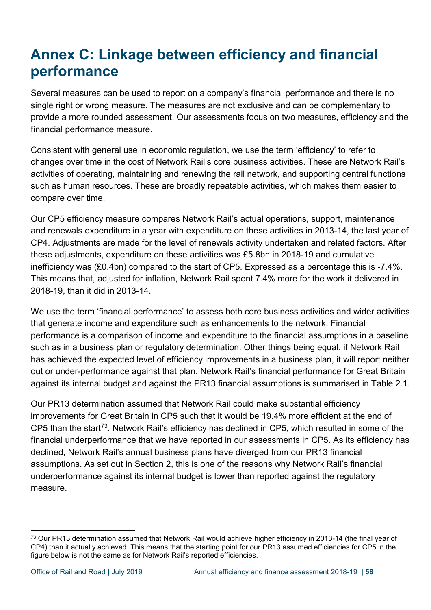# <span id="page-57-0"></span>**Annex C: Linkage between efficiency and financial performance**

Several measures can be used to report on a company's financial performance and there is no single right or wrong measure. The measures are not exclusive and can be complementary to provide a more rounded assessment. Our assessments focus on two measures, efficiency and the financial performance measure.

Consistent with general use in economic regulation, we use the term 'efficiency' to refer to changes over time in the cost of Network Rail's core business activities. These are Network Rail's activities of operating, maintaining and renewing the rail network, and supporting central functions such as human resources. These are broadly repeatable activities, which makes them easier to compare over time.

Our CP5 efficiency measure compares Network Rail's actual operations, support, maintenance and renewals expenditure in a year with expenditure on these activities in 2013-14, the last year of CP4. Adjustments are made for the level of renewals activity undertaken and related factors. After these adjustments, expenditure on these activities was £5.8bn in 2018-19 and cumulative inefficiency was (£0.4bn) compared to the start of CP5. Expressed as a percentage this is -7.4%. This means that, adjusted for inflation, Network Rail spent 7.4% more for the work it delivered in 2018-19, than it did in 2013-14.

We use the term 'financial performance' to assess both core business activities and wider activities that generate income and expenditure such as enhancements to the network. Financial performance is a comparison of income and expenditure to the financial assumptions in a baseline such as in a business plan or regulatory determination. Other things being equal, if Network Rail has achieved the expected level of efficiency improvements in a business plan, it will report neither out or under-performance against that plan. Network Rail's financial performance for Great Britain against its internal budget and against the PR13 financial assumptions is summarised in Table 2.1.

Our PR13 determination assumed that Network Rail could make substantial efficiency improvements for Great Britain in CP5 such that it would be 19.4% more efficient at the end of CP5 than the start<sup>73</sup>. Network Rail's efficiency has declined in CP5, which resulted in some of the financial underperformance that we have reported in our assessments in CP5. As its efficiency has declined, Network Rail's annual business plans have diverged from our PR13 financial assumptions. As set out in Section 2, this is one of the reasons why Network Rail's financial underperformance against its internal budget is lower than reported against the regulatory measure.

<span id="page-57-1"></span><sup>&</sup>lt;sup>73</sup> Our PR13 determination assumed that Network Rail would achieve higher efficiency in 2013-14 (the final year of CP4) than it actually achieved. This means that the starting point for our PR13 assumed efficiencies for CP5 in the figure below is not the same as for Network Rail's reported efficiencies.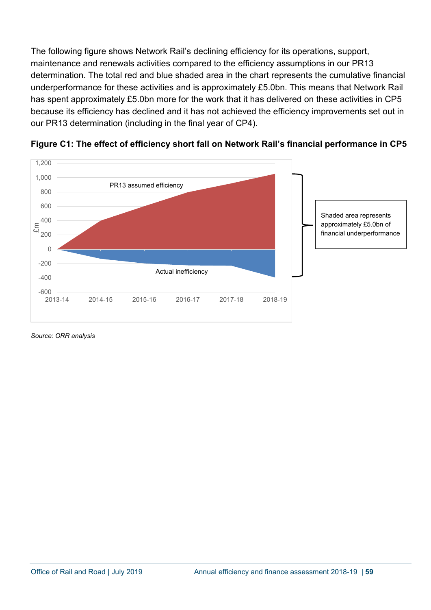The following figure shows Network Rail's declining efficiency for its operations, support, maintenance and renewals activities compared to the efficiency assumptions in our PR13 determination. The total red and blue shaded area in the chart represents the cumulative financial underperformance for these activities and is approximately £5.0bn. This means that Network Rail has spent approximately £5.0bn more for the work that it has delivered on these activities in CP5 because its efficiency has declined and it has not achieved the efficiency improvements set out in our PR13 determination (including in the final year of CP4).



**Figure C1: The effect of efficiency short fall on Network Rail's financial performance in CP5**

*Source: ORR analysis*